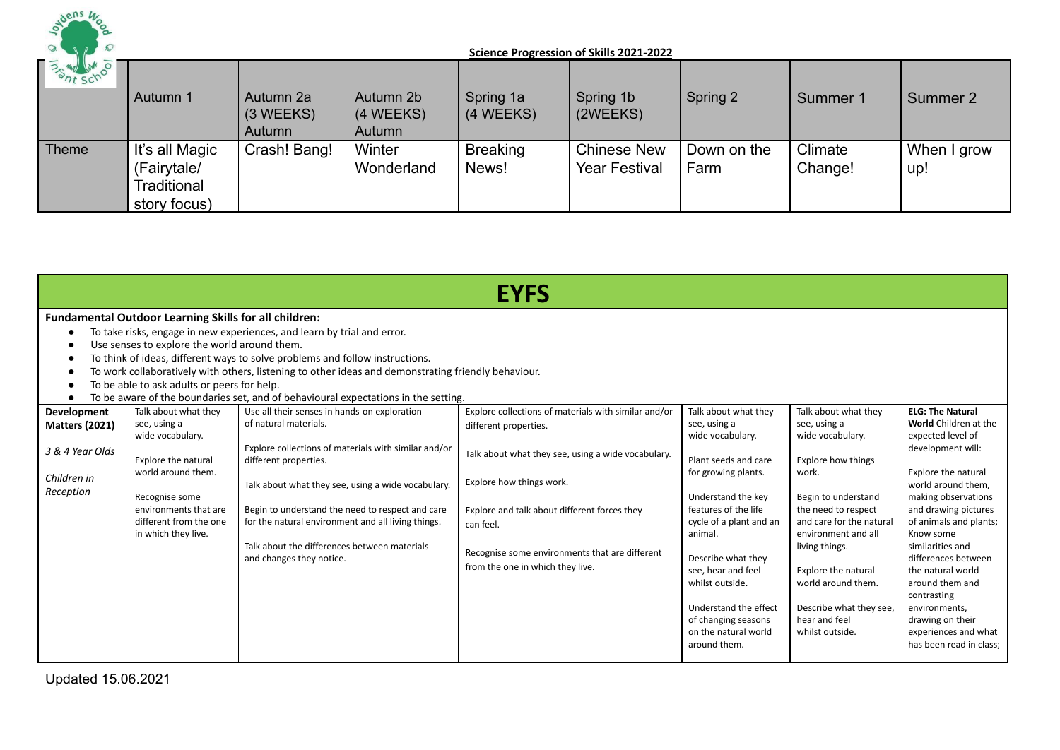

| <b>BANK SCHOOL</b> | Autumn 1                                                     | Autumn 2a<br>$(3 \, \text{WEEKS})$<br>Autumn | Autumn 2b<br>(4 WEEKS)<br>Autumn | Spring 1a<br>(4 WEEKS)   | Spring 1b<br>(2WEEKS)                      | Spring 2            | Summer 1           | Summer 2           |
|--------------------|--------------------------------------------------------------|----------------------------------------------|----------------------------------|--------------------------|--------------------------------------------|---------------------|--------------------|--------------------|
| Theme              | It's all Magic<br>(Fairytale/<br>Traditional<br>story focus) | Crash! Bang!                                 | Winter<br>Wonderland             | <b>Breaking</b><br>News! | <b>Chinese New</b><br><b>Year Festival</b> | Down on the<br>Farm | Climate<br>Change! | When I grow<br>up! |

|                                                                                     | <b>EYFS</b>                                                                                                                                                                                       |                                                                                                                                                                                                                                                                                                                                                                                                    |                                                                                                                                                                                                                                                                                                                    |                                                                                                                                                                                                                                                                                                                                                    |                                                                                                                                                                                                                                                                                                                               |                                                                                                                                                                                                                                                                                                                                                                                                                         |  |  |  |  |  |
|-------------------------------------------------------------------------------------|---------------------------------------------------------------------------------------------------------------------------------------------------------------------------------------------------|----------------------------------------------------------------------------------------------------------------------------------------------------------------------------------------------------------------------------------------------------------------------------------------------------------------------------------------------------------------------------------------------------|--------------------------------------------------------------------------------------------------------------------------------------------------------------------------------------------------------------------------------------------------------------------------------------------------------------------|----------------------------------------------------------------------------------------------------------------------------------------------------------------------------------------------------------------------------------------------------------------------------------------------------------------------------------------------------|-------------------------------------------------------------------------------------------------------------------------------------------------------------------------------------------------------------------------------------------------------------------------------------------------------------------------------|-------------------------------------------------------------------------------------------------------------------------------------------------------------------------------------------------------------------------------------------------------------------------------------------------------------------------------------------------------------------------------------------------------------------------|--|--|--|--|--|
| ٠<br>$\bullet$                                                                      | <b>Fundamental Outdoor Learning Skills for all children:</b><br>Use senses to explore the world around them.<br>To be able to ask adults or peers for help.                                       | To take risks, engage in new experiences, and learn by trial and error.<br>To think of ideas, different ways to solve problems and follow instructions.<br>To work collaboratively with others, listening to other ideas and demonstrating friendly behaviour.<br>To be aware of the boundaries set, and of behavioural expectations in the setting.                                               |                                                                                                                                                                                                                                                                                                                    |                                                                                                                                                                                                                                                                                                                                                    |                                                                                                                                                                                                                                                                                                                               |                                                                                                                                                                                                                                                                                                                                                                                                                         |  |  |  |  |  |
| Development<br><b>Matters (2021)</b><br>3 & 4 Year Olds<br>Children in<br>Reception | Talk about what they<br>see, using a<br>wide vocabulary.<br>Explore the natural<br>world around them.<br>Recognise some<br>environments that are<br>different from the one<br>in which they live. | Use all their senses in hands-on exploration<br>of natural materials.<br>Explore collections of materials with similar and/or<br>different properties.<br>Talk about what they see, using a wide vocabulary.<br>Begin to understand the need to respect and care<br>for the natural environment and all living things.<br>Talk about the differences between materials<br>and changes they notice. | Explore collections of materials with similar and/or<br>different properties.<br>Talk about what they see, using a wide vocabulary.<br>Explore how things work.<br>Explore and talk about different forces they<br>can feel.<br>Recognise some environments that are different<br>from the one in which they live. | Talk about what they<br>see, using a<br>wide vocabulary.<br>Plant seeds and care<br>for growing plants.<br>Understand the key<br>features of the life<br>cycle of a plant and an<br>animal.<br>Describe what they<br>see, hear and feel<br>whilst outside.<br>Understand the effect<br>of changing seasons<br>on the natural world<br>around them. | Talk about what they<br>see, using a<br>wide vocabulary.<br><b>Explore how things</b><br>work.<br>Begin to understand<br>the need to respect<br>and care for the natural<br>environment and all<br>living things.<br>Explore the natural<br>world around them.<br>Describe what they see,<br>hear and feel<br>whilst outside. | <b>ELG: The Natural</b><br>World Children at the<br>expected level of<br>development will:<br>Explore the natural<br>world around them,<br>making observations<br>and drawing pictures<br>of animals and plants;<br>Know some<br>similarities and<br>differences between<br>the natural world<br>around them and<br>contrasting<br>environments,<br>drawing on their<br>experiences and what<br>has been read in class; |  |  |  |  |  |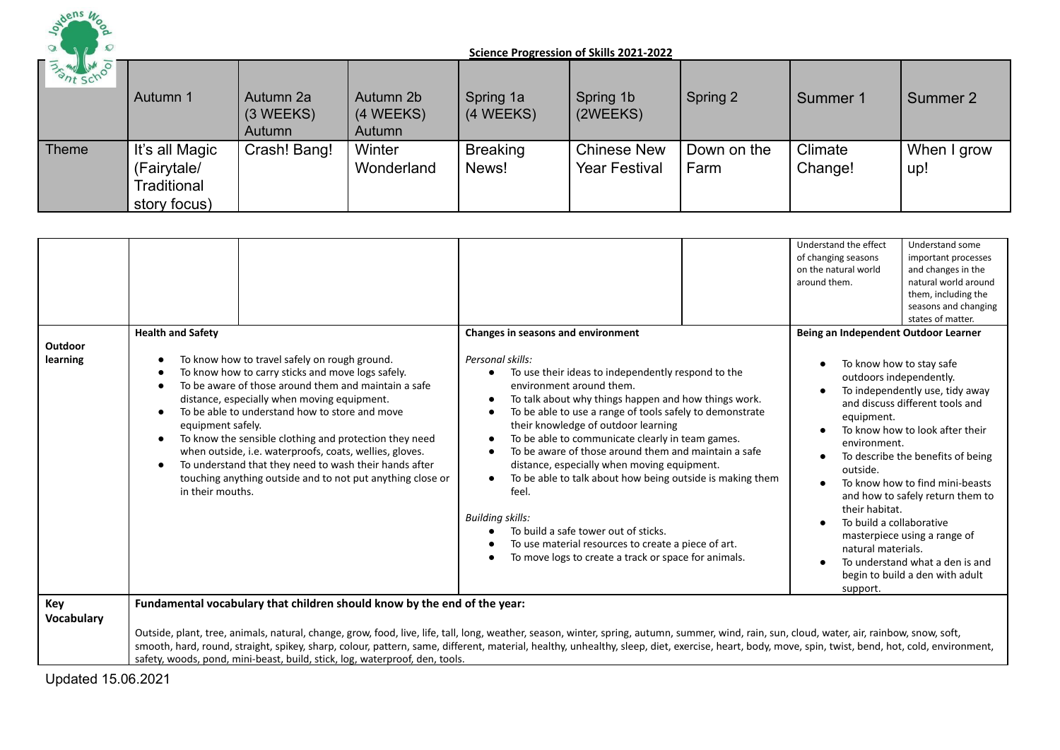

| <b>BATT SCHOOLS</b> | Autumn 1                                                     | Autumn 2a<br>$(3 \, \text{WEEKS})$<br>Autumn | Autumn 2b<br>(4 WEEKS)<br>Autumn | Spring 1a<br>(4 WEEKS)   | Spring 1b<br>(2WEEKS)                      | Spring 2            | Summer 1           | Summer 2           |
|---------------------|--------------------------------------------------------------|----------------------------------------------|----------------------------------|--------------------------|--------------------------------------------|---------------------|--------------------|--------------------|
| Theme               | It's all Magic<br>(Fairytale/<br>Traditional<br>story focus) | Crash! Bang!                                 | Winter<br>Wonderland             | <b>Breaking</b><br>News! | <b>Chinese New</b><br><b>Year Festival</b> | Down on the<br>Farm | Climate<br>Change! | When I grow<br>up! |

|                            |                                                                                                                                                                                                                                                                                                                                                                                                                                                                                                                                                                                                                                                              |                                                                                                                                                                                                                                                                                                                                                                                                                                                                                                                                                                                                                                                                                                                                                  | Understand the effect<br>Understand some<br>of changing seasons<br>important processes<br>on the natural world<br>and changes in the<br>natural world around<br>around them.<br>them, including the<br>seasons and changing<br>states of matter.                                                                                                                                                                                                                                                                                                                                        |
|----------------------------|--------------------------------------------------------------------------------------------------------------------------------------------------------------------------------------------------------------------------------------------------------------------------------------------------------------------------------------------------------------------------------------------------------------------------------------------------------------------------------------------------------------------------------------------------------------------------------------------------------------------------------------------------------------|--------------------------------------------------------------------------------------------------------------------------------------------------------------------------------------------------------------------------------------------------------------------------------------------------------------------------------------------------------------------------------------------------------------------------------------------------------------------------------------------------------------------------------------------------------------------------------------------------------------------------------------------------------------------------------------------------------------------------------------------------|-----------------------------------------------------------------------------------------------------------------------------------------------------------------------------------------------------------------------------------------------------------------------------------------------------------------------------------------------------------------------------------------------------------------------------------------------------------------------------------------------------------------------------------------------------------------------------------------|
| <b>Outdoor</b><br>learning | <b>Health and Safety</b><br>To know how to travel safely on rough ground.<br>$\bullet$<br>To know how to carry sticks and move logs safely.<br>$\epsilon$<br>To be aware of those around them and maintain a safe<br>$\bullet$<br>distance, especially when moving equipment.<br>To be able to understand how to store and move<br>$\bullet$<br>equipment safely.<br>To know the sensible clothing and protection they need<br>$\bullet$<br>when outside, i.e. waterproofs, coats, wellies, gloves.<br>To understand that they need to wash their hands after<br>$\bullet$<br>touching anything outside and to not put anything close or<br>in their mouths. | Changes in seasons and environment<br>Personal skills:<br>To use their ideas to independently respond to the<br>$\bullet$<br>environment around them.<br>To talk about why things happen and how things work.<br>To be able to use a range of tools safely to demonstrate<br>their knowledge of outdoor learning<br>To be able to communicate clearly in team games.<br>$\bullet$<br>To be aware of those around them and maintain a safe<br>distance, especially when moving equipment.<br>To be able to talk about how being outside is making them<br>feel.<br><b>Building skills:</b><br>To build a safe tower out of sticks.<br>To use material resources to create a piece of art.<br>To move logs to create a track or space for animals. | Being an Independent Outdoor Learner<br>To know how to stay safe<br>outdoors independently.<br>To independently use, tidy away<br>and discuss different tools and<br>equipment.<br>To know how to look after their<br>$\bullet$<br>environment.<br>To describe the benefits of being<br>outside.<br>To know how to find mini-beasts<br>and how to safely return them to<br>their habitat.<br>To build a collaborative<br>$\bullet$<br>masterpiece using a range of<br>natural materials.<br>To understand what a den is and<br>$\bullet$<br>begin to build a den with adult<br>support. |
| Key<br>Vocabulary          | Fundamental vocabulary that children should know by the end of the year:<br>safety, woods, pond, mini-beast, build, stick, log, waterproof, den, tools.                                                                                                                                                                                                                                                                                                                                                                                                                                                                                                      | Outside, plant, tree, animals, natural, change, grow, food, live, life, tall, long, weather, season, winter, spring, autumn, summer, wind, rain, sun, cloud, water, air, rainbow, snow, soft,<br>smooth, hard, round, straight, spikey, sharp, colour, pattern, same, different, material, healthy, unhealthy, sleep, diet, exercise, heart, body, move, spin, twist, bend, hot, cold, environment,                                                                                                                                                                                                                                                                                                                                              |                                                                                                                                                                                                                                                                                                                                                                                                                                                                                                                                                                                         |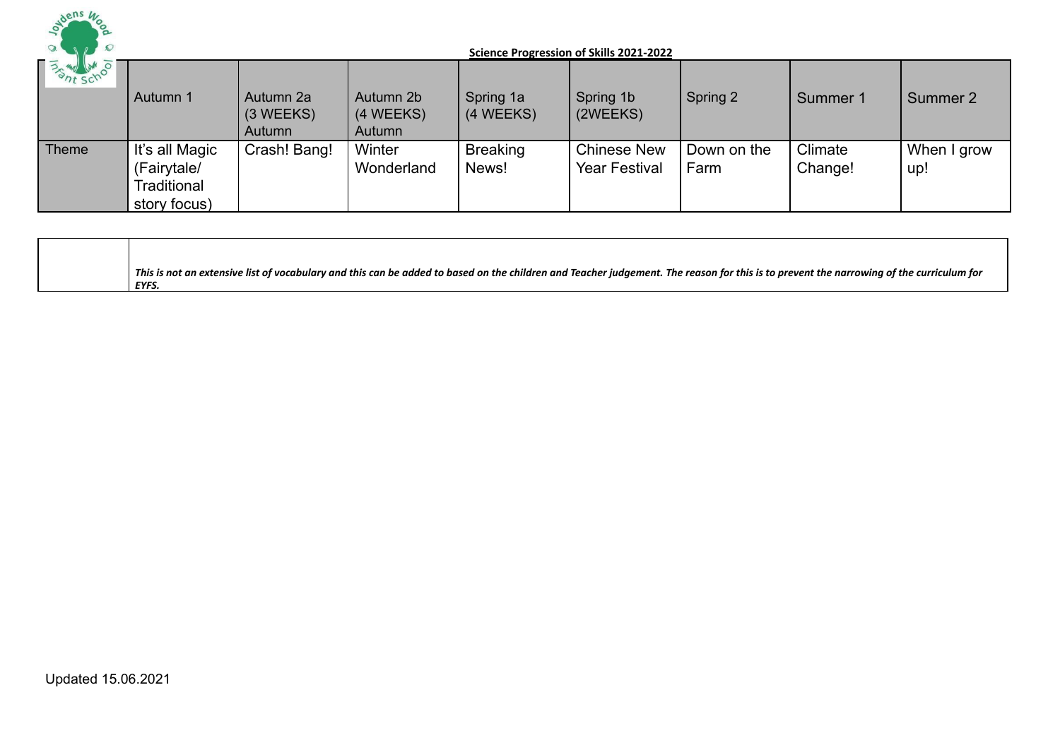

| <b>BASINE SCHOOL</b> | Autumn 1                                                     | Autumn 2a<br>$(3 \, \text{WEEKS})$<br>Autumn | Autumn 2b<br>(4 WEEKS)<br>Autumn | Spring 1a<br>(4 WEEKS)   | Spring 1b<br>(2WEEKS)                      | Spring 2            | Summer 1           | Summer 2           |
|----------------------|--------------------------------------------------------------|----------------------------------------------|----------------------------------|--------------------------|--------------------------------------------|---------------------|--------------------|--------------------|
| Theme                | It's all Magic<br>(Fairytale/<br>Traditional<br>story focus) | Crash! Bang!                                 | Winter<br>Wonderland             | <b>Breaking</b><br>News! | <b>Chinese New</b><br><b>Year Festival</b> | Down on the<br>Farm | Climate<br>Change! | When I grow<br>up! |

| This is not an extensive list of vocabulary and this can be added to based on the children and Teacher judgement. The reason for this is to prevent the narrowing of the curriculum for |
|-----------------------------------------------------------------------------------------------------------------------------------------------------------------------------------------|
| EYFS.                                                                                                                                                                                   |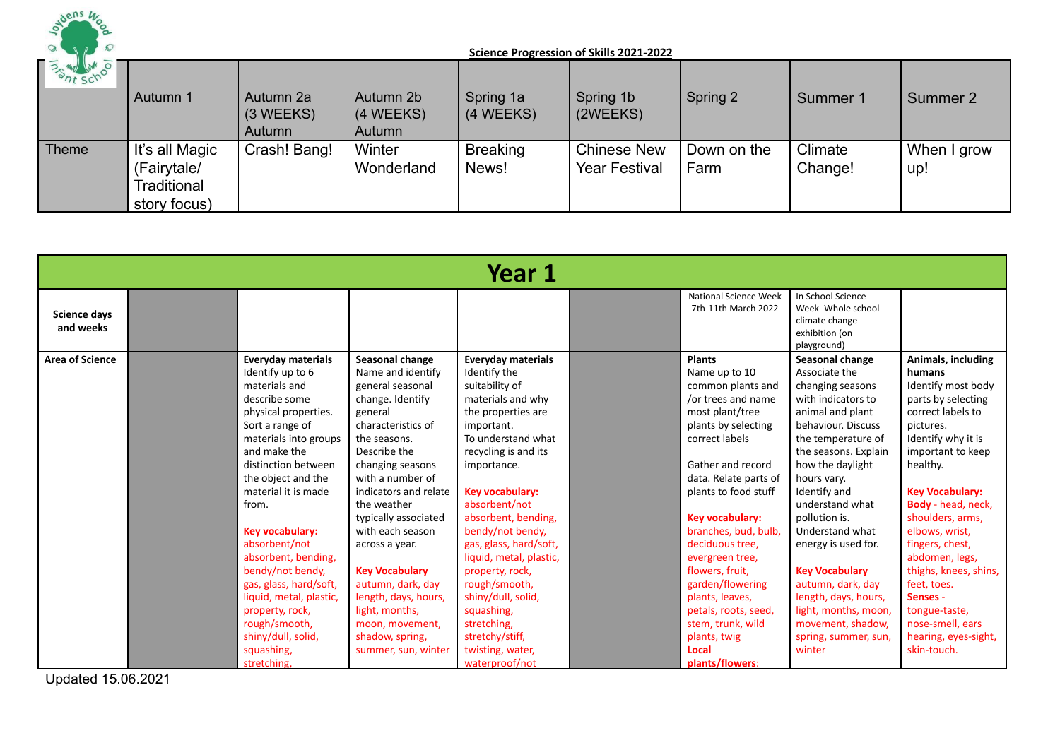

| <b>BANK SCHOOL</b> | Autumn 1                                                     | Autumn 2a<br>$(3 \, \text{WEEKS})$<br>Autumn | Autumn 2b<br>(4 WEEKS)<br>Autumn | Spring 1a<br>(4 WEEKS)   | Spring 1b<br>(2WEEKS)                      | Spring 2            | Summer 1           | Summer 2           |
|--------------------|--------------------------------------------------------------|----------------------------------------------|----------------------------------|--------------------------|--------------------------------------------|---------------------|--------------------|--------------------|
| Theme              | It's all Magic<br>(Fairytale/<br>Traditional<br>story focus) | Crash! Bang!                                 | Winter<br>Wonderland             | <b>Breaking</b><br>News! | <b>Chinese New</b><br><b>Year Festival</b> | Down on the<br>Farm | Climate<br>Change! | When I grow<br>up! |

|                                  | Year 1                             |                                                                                                                                                                                                                                                                                                                                                                                                                                       |                                                                                                                                                                                                                                                                                                                                                                                                                                                  |                                                                                                                                                                                                                                                                                                                                                                                                                                                                       |  |                                                                                                                                                                                                                                                                                                                                                                                                                                                 |                                                                                                                                                                                                                                                                                                                                                                                                                                                          |                                                                                                                                                                                                                                                                                                                                                                                                                              |  |  |  |
|----------------------------------|------------------------------------|---------------------------------------------------------------------------------------------------------------------------------------------------------------------------------------------------------------------------------------------------------------------------------------------------------------------------------------------------------------------------------------------------------------------------------------|--------------------------------------------------------------------------------------------------------------------------------------------------------------------------------------------------------------------------------------------------------------------------------------------------------------------------------------------------------------------------------------------------------------------------------------------------|-----------------------------------------------------------------------------------------------------------------------------------------------------------------------------------------------------------------------------------------------------------------------------------------------------------------------------------------------------------------------------------------------------------------------------------------------------------------------|--|-------------------------------------------------------------------------------------------------------------------------------------------------------------------------------------------------------------------------------------------------------------------------------------------------------------------------------------------------------------------------------------------------------------------------------------------------|----------------------------------------------------------------------------------------------------------------------------------------------------------------------------------------------------------------------------------------------------------------------------------------------------------------------------------------------------------------------------------------------------------------------------------------------------------|------------------------------------------------------------------------------------------------------------------------------------------------------------------------------------------------------------------------------------------------------------------------------------------------------------------------------------------------------------------------------------------------------------------------------|--|--|--|
| <b>Science days</b><br>and weeks |                                    |                                                                                                                                                                                                                                                                                                                                                                                                                                       |                                                                                                                                                                                                                                                                                                                                                                                                                                                  |                                                                                                                                                                                                                                                                                                                                                                                                                                                                       |  | <b>National Science Week</b><br>7th-11th March 2022                                                                                                                                                                                                                                                                                                                                                                                             | In School Science<br>Week- Whole school<br>climate change<br>exhibition (on<br>playground)                                                                                                                                                                                                                                                                                                                                                               |                                                                                                                                                                                                                                                                                                                                                                                                                              |  |  |  |
| <b>Area of Science</b>           | from.<br>squashing,<br>stretching, | <b>Everyday materials</b><br>Identify up to 6<br>materials and<br>describe some<br>physical properties.<br>Sort a range of<br>materials into groups<br>and make the<br>distinction between<br>the object and the<br>material it is made<br>Key vocabulary:<br>absorbent/not<br>absorbent, bending,<br>bendy/not bendy,<br>gas, glass, hard/soft,<br>liquid, metal, plastic,<br>property, rock,<br>rough/smooth,<br>shiny/dull, solid, | Seasonal change<br>Name and identify<br>general seasonal<br>change. Identify<br>general<br>characteristics of<br>the seasons.<br>Describe the<br>changing seasons<br>with a number of<br>indicators and relate<br>the weather<br>typically associated<br>with each season<br>across a year.<br><b>Key Vocabulary</b><br>autumn, dark, day<br>length, days, hours,<br>light, months,<br>moon, movement,<br>shadow, spring,<br>summer, sun, winter | <b>Everyday materials</b><br>Identify the<br>suitability of<br>materials and why<br>the properties are<br>important.<br>To understand what<br>recycling is and its<br>importance.<br>Key vocabulary:<br>absorbent/not<br>absorbent, bending,<br>bendy/not bendy,<br>gas, glass, hard/soft,<br>liquid, metal, plastic,<br>property, rock,<br>rough/smooth,<br>shiny/dull, solid,<br>squashing,<br>stretching,<br>stretchy/stiff,<br>twisting, water,<br>waterproof/not |  | <b>Plants</b><br>Name up to 10<br>common plants and<br>/or trees and name<br>most plant/tree<br>plants by selecting<br>correct labels<br>Gather and record<br>data. Relate parts of<br>plants to food stuff<br>Key vocabulary:<br>branches, bud, bulb,<br>deciduous tree.<br>evergreen tree,<br>flowers, fruit,<br>garden/flowering<br>plants, leaves,<br>petals, roots, seed,<br>stem, trunk, wild<br>plants, twig<br>Local<br>plants/flowers: | Seasonal change<br>Associate the<br>changing seasons<br>with indicators to<br>animal and plant<br>behaviour. Discuss<br>the temperature of<br>the seasons. Explain<br>how the daylight<br>hours vary.<br>Identify and<br>understand what<br>pollution is.<br>Understand what<br>energy is used for.<br><b>Key Vocabulary</b><br>autumn, dark, day<br>length, days, hours,<br>light, months, moon,<br>movement, shadow,<br>spring, summer, sun,<br>winter | Animals, including<br>humans<br>Identify most body<br>parts by selecting<br>correct labels to<br>pictures.<br>Identify why it is<br>important to keep<br>healthy.<br><b>Key Vocabulary:</b><br>Body - head, neck,<br>shoulders, arms,<br>elbows, wrist,<br>fingers, chest,<br>abdomen, legs,<br>thighs, knees, shins,<br>feet, toes.<br>Senses -<br>tongue-taste,<br>nose-smell, ears<br>hearing, eyes-sight,<br>skin-touch. |  |  |  |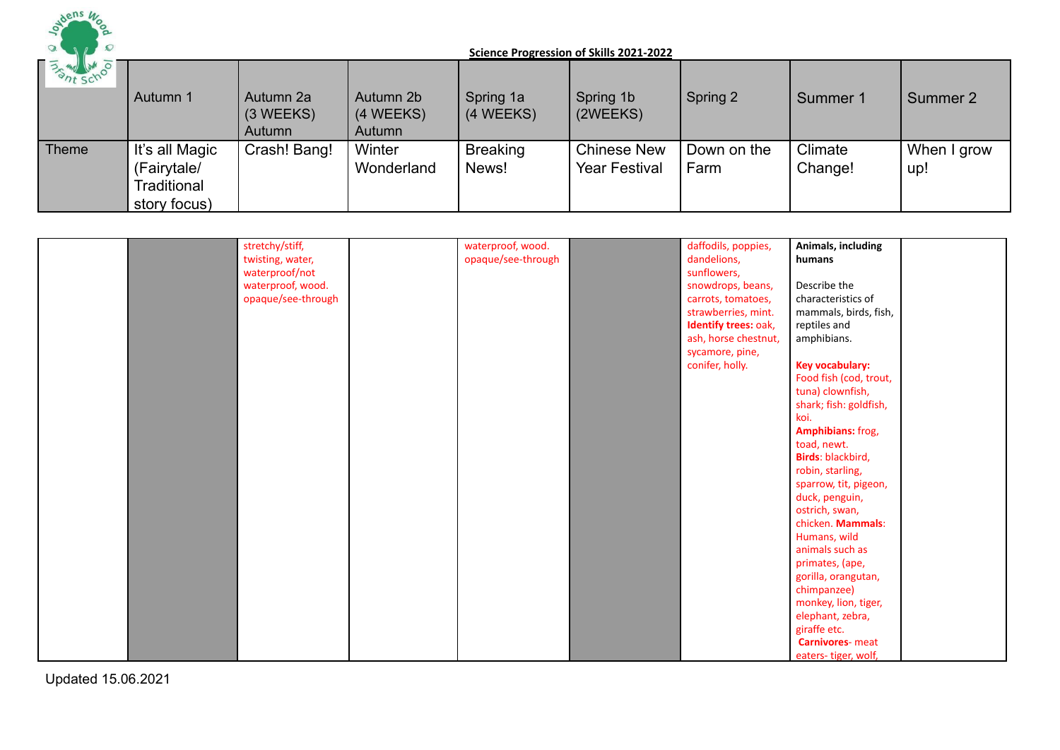

| <b>BANK SCHOOL</b> | Autumn 1                                                     | Autumn 2a<br>(3 WEEKS)<br>Autumn | Autumn 2b<br>(4 WEEKS)<br>Autumn | Spring 1a<br>(4 WEEKS)   | Spring 1b<br>(2WEEKS)                      | Spring 2            | Summer 1           | Summer 2           |
|--------------------|--------------------------------------------------------------|----------------------------------|----------------------------------|--------------------------|--------------------------------------------|---------------------|--------------------|--------------------|
| Theme              | It's all Magic<br>(Fairytale/<br>Traditional<br>story focus) | Crash! Bang!                     | Winter<br>Wonderland             | <b>Breaking</b><br>News! | <b>Chinese New</b><br><b>Year Festival</b> | Down on the<br>Farm | Climate<br>Change! | When I grow<br>up! |

|  | stretchy/stiff,    | waterproof, wood.  | daffodils, poppies,  | Animals, including      |
|--|--------------------|--------------------|----------------------|-------------------------|
|  | twisting, water,   | opaque/see-through | dandelions,          | humans                  |
|  | waterproof/not     |                    | sunflowers,          |                         |
|  | waterproof, wood.  |                    | snowdrops, beans,    | Describe the            |
|  | opaque/see-through |                    | carrots, tomatoes,   | characteristics of      |
|  |                    |                    | strawberries, mint.  | mammals, birds, fish,   |
|  |                    |                    | Identify trees: oak, | reptiles and            |
|  |                    |                    | ash, horse chestnut, | amphibians.             |
|  |                    |                    | sycamore, pine,      |                         |
|  |                    |                    | conifer, holly.      | <b>Key vocabulary:</b>  |
|  |                    |                    |                      | Food fish (cod, trout,  |
|  |                    |                    |                      | tuna) clownfish,        |
|  |                    |                    |                      | shark; fish: goldfish,  |
|  |                    |                    |                      | koi.                    |
|  |                    |                    |                      | Amphibians: frog,       |
|  |                    |                    |                      | toad, newt.             |
|  |                    |                    |                      | Birds: blackbird,       |
|  |                    |                    |                      | robin, starling,        |
|  |                    |                    |                      | sparrow, tit, pigeon,   |
|  |                    |                    |                      | duck, penguin,          |
|  |                    |                    |                      | ostrich, swan,          |
|  |                    |                    |                      | chicken. Mammals:       |
|  |                    |                    |                      | Humans, wild            |
|  |                    |                    |                      | animals such as         |
|  |                    |                    |                      | primates, (ape,         |
|  |                    |                    |                      | gorilla, orangutan,     |
|  |                    |                    |                      | chimpanzee)             |
|  |                    |                    |                      | monkey, lion, tiger,    |
|  |                    |                    |                      | elephant, zebra,        |
|  |                    |                    |                      | giraffe etc.            |
|  |                    |                    |                      | <b>Carnivores-</b> meat |
|  |                    |                    |                      | eaters-tiger, wolf,     |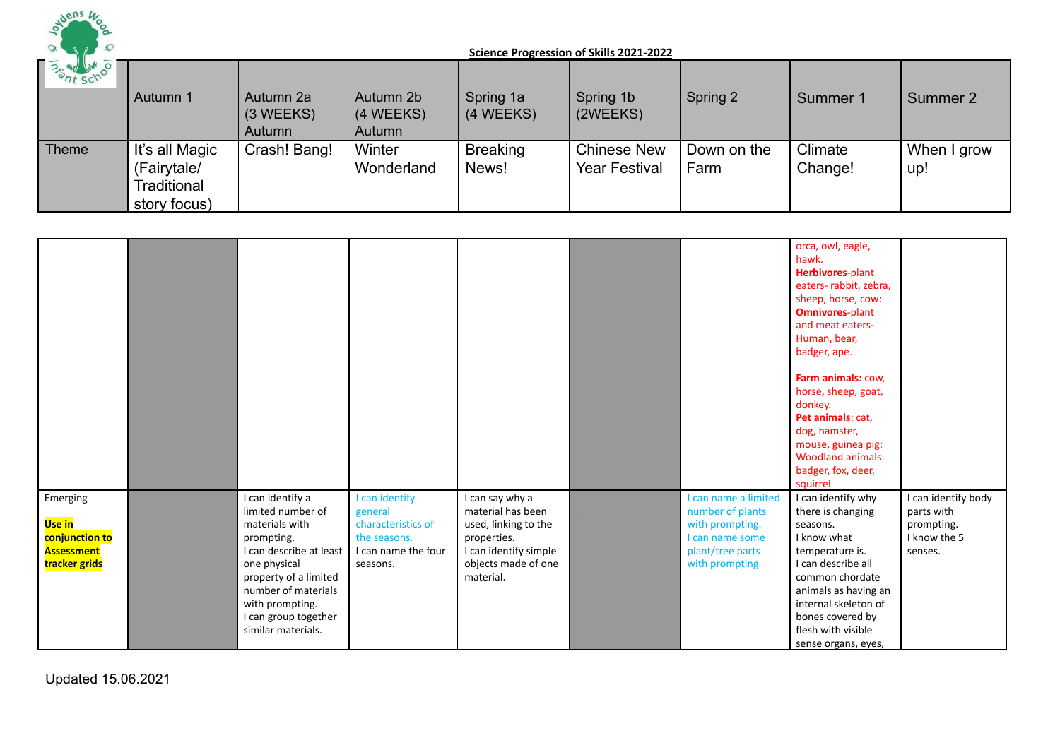

| <b>Example 11 AM OF</b> | Autumn 1                                                     | Autumn 2a<br>(3 WEEKS)<br>Autumn | Autumn 2b<br>(4 WEEKS)<br>Autumn | Spring 1a<br>(4 WEEKS)   | Spring 1b<br>(2WEEKS)                      | Spring 2            | Summer 1           | Summer 2           |
|-------------------------|--------------------------------------------------------------|----------------------------------|----------------------------------|--------------------------|--------------------------------------------|---------------------|--------------------|--------------------|
| Theme                   | It's all Magic<br>(Fairytale/<br>Traditional<br>story focus) | Crash! Bang!                     | Winter<br>Wonderland             | <b>Breaking</b><br>News! | <b>Chinese New</b><br><b>Year Festival</b> | Down on the<br>Farm | Climate<br>Change! | When I grow<br>up! |

|                                                                                   |                                                                                                                                                                                                                                   |                                                                                                    |                                                                                                                                          |                                                                                                                      | orca, owl, eagle,<br>hawk.<br>Herbivores-plant<br>eaters-rabbit, zebra,<br>sheep, horse, cow:<br><b>Omnivores-plant</b><br>and meat eaters-<br>Human, bear,<br>badger, ape.                                                                     |                                                                            |
|-----------------------------------------------------------------------------------|-----------------------------------------------------------------------------------------------------------------------------------------------------------------------------------------------------------------------------------|----------------------------------------------------------------------------------------------------|------------------------------------------------------------------------------------------------------------------------------------------|----------------------------------------------------------------------------------------------------------------------|-------------------------------------------------------------------------------------------------------------------------------------------------------------------------------------------------------------------------------------------------|----------------------------------------------------------------------------|
|                                                                                   |                                                                                                                                                                                                                                   |                                                                                                    |                                                                                                                                          |                                                                                                                      | Farm animals: cow,<br>horse, sheep, goat,<br>donkey.<br>Pet animals: cat,<br>dog, hamster,<br>mouse, guinea pig:<br><b>Woodland animals:</b><br>badger, fox, deer,<br>squirrel                                                                  |                                                                            |
| Emerging<br><b>Use in</b><br>conjunction to<br><b>Assessment</b><br>tracker grids | I can identify a<br>limited number of<br>materials with<br>prompting.<br>I can describe at least<br>one physical<br>property of a limited<br>number of materials<br>with prompting.<br>I can group together<br>similar materials. | I can identify<br>general<br>characteristics of<br>the seasons.<br>I can name the four<br>seasons. | I can say why a<br>material has been<br>used, linking to the<br>properties.<br>I can identify simple<br>objects made of one<br>material. | I can name a limited<br>number of plants<br>with prompting.<br>I can name some<br>plant/tree parts<br>with prompting | I can identify why<br>there is changing<br>seasons.<br>I know what<br>temperature is.<br>I can describe all<br>common chordate<br>animals as having an<br>internal skeleton of<br>bones covered by<br>flesh with visible<br>sense organs, eyes, | I can identify body<br>parts with<br>prompting.<br>I know the 5<br>senses. |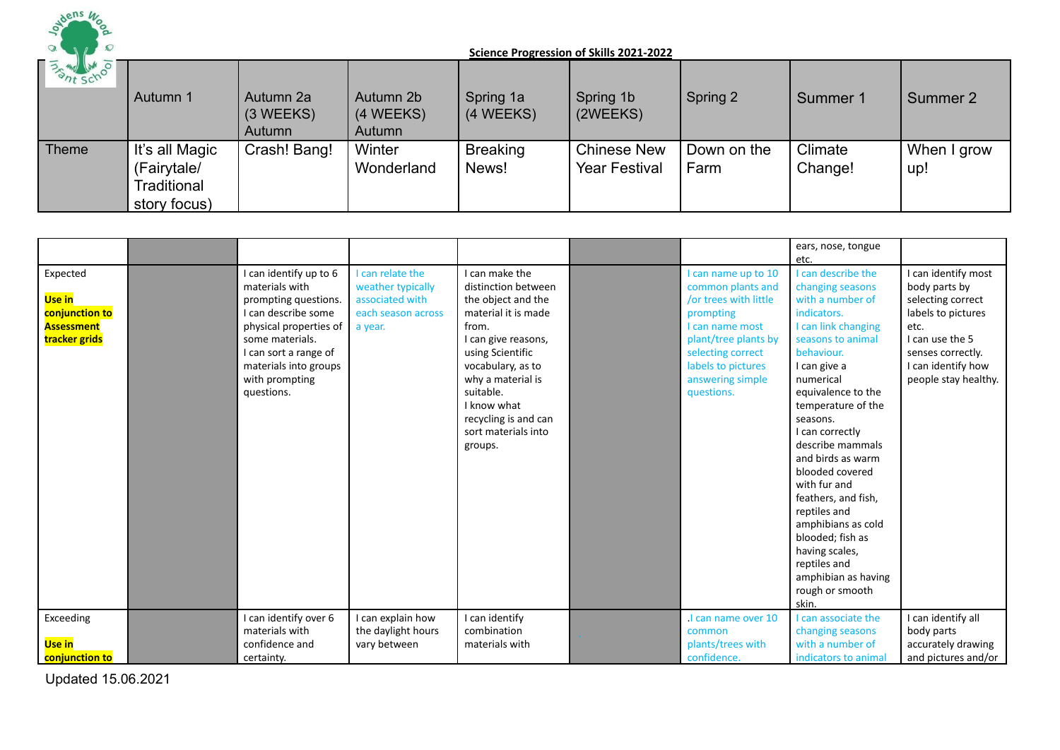

| <b>FASHING AND STATE</b> | Autumn 1                                                     | Autumn 2a<br>$(3 \, \text{WEEKS})$<br>Autumn | Autumn 2b<br>(4 WEEKS)<br>Autumn | Spring 1a<br>(4 WEEKS)   | Spring 1b<br>(2WEEKS)                      | Spring 2            | Summer 1           | Summer 2           |
|--------------------------|--------------------------------------------------------------|----------------------------------------------|----------------------------------|--------------------------|--------------------------------------------|---------------------|--------------------|--------------------|
| Theme                    | It's all Magic<br>(Fairytale/<br>Traditional<br>story focus) | Crash! Bang!                                 | Winter<br>Wonderland             | <b>Breaking</b><br>News! | <b>Chinese New</b><br><b>Year Festival</b> | Down on the<br>Farm | Climate<br>Change! | When I grow<br>up! |

|                                                                                   |                                                                                                                                                                                                                        |                                                                                         |                                                                                                                                                                                                                                                                        |                                                                                                                                                                                                       | ears, nose, tongue<br>etc.                                                                                                                                                                                                                                                                                                                                                                                                                                                                    |                                                                                                                                                                               |
|-----------------------------------------------------------------------------------|------------------------------------------------------------------------------------------------------------------------------------------------------------------------------------------------------------------------|-----------------------------------------------------------------------------------------|------------------------------------------------------------------------------------------------------------------------------------------------------------------------------------------------------------------------------------------------------------------------|-------------------------------------------------------------------------------------------------------------------------------------------------------------------------------------------------------|-----------------------------------------------------------------------------------------------------------------------------------------------------------------------------------------------------------------------------------------------------------------------------------------------------------------------------------------------------------------------------------------------------------------------------------------------------------------------------------------------|-------------------------------------------------------------------------------------------------------------------------------------------------------------------------------|
| Expected<br><b>Use in</b><br>conjunction to<br><b>Assessment</b><br>tracker grids | I can identify up to 6<br>materials with<br>prompting questions.<br>I can describe some<br>physical properties of<br>some materials.<br>I can sort a range of<br>materials into groups<br>with prompting<br>questions. | can relate the<br>weather typically<br>associated with<br>each season across<br>a year. | I can make the<br>distinction between<br>the object and the<br>material it is made<br>from.<br>I can give reasons,<br>using Scientific<br>vocabulary, as to<br>why a material is<br>suitable.<br>I know what<br>recycling is and can<br>sort materials into<br>groups. | I can name up to 10<br>common plants and<br>or trees with little<br>prompting<br>I can name most<br>plant/tree plants by<br>selecting correct<br>labels to pictures<br>answering simple<br>questions. | I can describe the<br>changing seasons<br>with a number of<br>indicators.<br>I can link changing<br>seasons to animal<br>behaviour.<br>I can give a<br>numerical<br>equivalence to the<br>temperature of the<br>seasons.<br>I can correctly<br>describe mammals<br>and birds as warm<br>blooded covered<br>with fur and<br>feathers, and fish,<br>reptiles and<br>amphibians as cold<br>blooded; fish as<br>having scales,<br>reptiles and<br>amphibian as having<br>rough or smooth<br>skin. | I can identify most<br>body parts by<br>selecting correct<br>labels to pictures<br>etc.<br>I can use the 5<br>senses correctly.<br>I can identify how<br>people stay healthy. |
| Exceeding<br>Use in<br>conjunction to                                             | I can identify over 6<br>materials with<br>confidence and<br>certainty.                                                                                                                                                | can explain how<br>the daylight hours<br>vary between                                   | I can identify<br>combination<br>materials with                                                                                                                                                                                                                        | I can name over 10<br>common<br>plants/trees with<br>confidence.                                                                                                                                      | I can associate the<br>changing seasons<br>with a number of<br>indicators to animal                                                                                                                                                                                                                                                                                                                                                                                                           | I can identify all<br>body parts<br>accurately drawing<br>and pictures and/or                                                                                                 |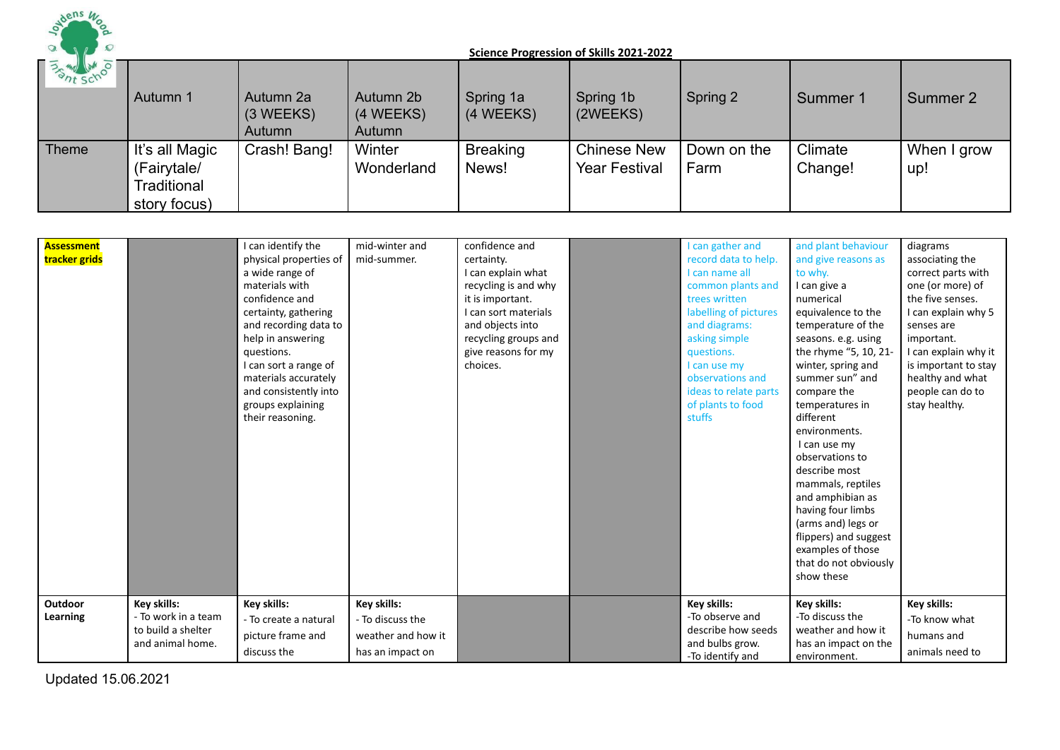

| <b>BANK WAS</b> | Autumn 1                                                     | Autumn 2a<br>$(3 \, \text{WEEKS})$<br>Autumn | Autumn 2b<br>(4 WEEKS)<br>Autumn | Spring 1a<br>(4 WEEKS)   | Spring 1b<br>(2WEEKS)                      | Spring 2            | Summer 1           | Summer 2           |
|-----------------|--------------------------------------------------------------|----------------------------------------------|----------------------------------|--------------------------|--------------------------------------------|---------------------|--------------------|--------------------|
| Theme           | It's all Magic<br>(Fairytale/<br>Traditional<br>story focus) | Crash! Bang!                                 | Winter<br>Wonderland             | <b>Breaking</b><br>News! | <b>Chinese New</b><br><b>Year Festival</b> | Down on the<br>Farm | Climate<br>Change! | When I grow<br>up! |

| Assessment<br>tracker grids |                                                                              | I can identify the<br>physical properties of<br>a wide range of<br>materials with<br>confidence and<br>certainty, gathering<br>and recording data to<br>help in answering<br>questions.<br>I can sort a range of<br>materials accurately<br>and consistently into<br>groups explaining<br>their reasoning. | mid-winter and<br>mid-summer.                                             | confidence and<br>certainty.<br>I can explain what<br>recycling is and why<br>it is important.<br>I can sort materials<br>and objects into<br>recycling groups and<br>give reasons for my<br>choices. | I can gather and<br>record data to help.<br>I can name all<br>common plants and<br>trees written<br>labelling of pictures<br>and diagrams:<br>asking simple<br>questions.<br>I can use my<br>observations and<br>ideas to relate parts<br>of plants to food<br>stuffs | and plant behaviour<br>and give reasons as<br>to why.<br>I can give a<br>numerical<br>equivalence to the<br>temperature of the<br>seasons. e.g. using<br>the rhyme "5, 10, 21-<br>winter, spring and<br>summer sun" and<br>compare the<br>temperatures in<br>different<br>environments.<br>I can use my<br>observations to<br>describe most<br>mammals, reptiles<br>and amphibian as<br>having four limbs<br>(arms and) legs or<br>flippers) and suggest<br>examples of those<br>that do not obviously<br>show these | diagrams<br>associating the<br>correct parts with<br>one (or more) of<br>the five senses.<br>I can explain why 5<br>senses are<br>important.<br>I can explain why it<br>is important to stay<br>healthy and what<br>people can do to<br>stay healthy. |
|-----------------------------|------------------------------------------------------------------------------|------------------------------------------------------------------------------------------------------------------------------------------------------------------------------------------------------------------------------------------------------------------------------------------------------------|---------------------------------------------------------------------------|-------------------------------------------------------------------------------------------------------------------------------------------------------------------------------------------------------|-----------------------------------------------------------------------------------------------------------------------------------------------------------------------------------------------------------------------------------------------------------------------|----------------------------------------------------------------------------------------------------------------------------------------------------------------------------------------------------------------------------------------------------------------------------------------------------------------------------------------------------------------------------------------------------------------------------------------------------------------------------------------------------------------------|-------------------------------------------------------------------------------------------------------------------------------------------------------------------------------------------------------------------------------------------------------|
| <b>Outdoor</b><br>Learning  | Key skills:<br>- To work in a team<br>to build a shelter<br>and animal home. | Key skills:<br>- To create a natural<br>picture frame and<br>discuss the                                                                                                                                                                                                                                   | Key skills:<br>- To discuss the<br>weather and how it<br>has an impact on |                                                                                                                                                                                                       | Key skills:<br>-To observe and<br>describe how seeds<br>and bulbs grow.<br>-To identify and                                                                                                                                                                           | Key skills:<br>-To discuss the<br>weather and how it<br>has an impact on the<br>environment.                                                                                                                                                                                                                                                                                                                                                                                                                         | Key skills:<br>-To know what<br>humans and<br>animals need to                                                                                                                                                                                         |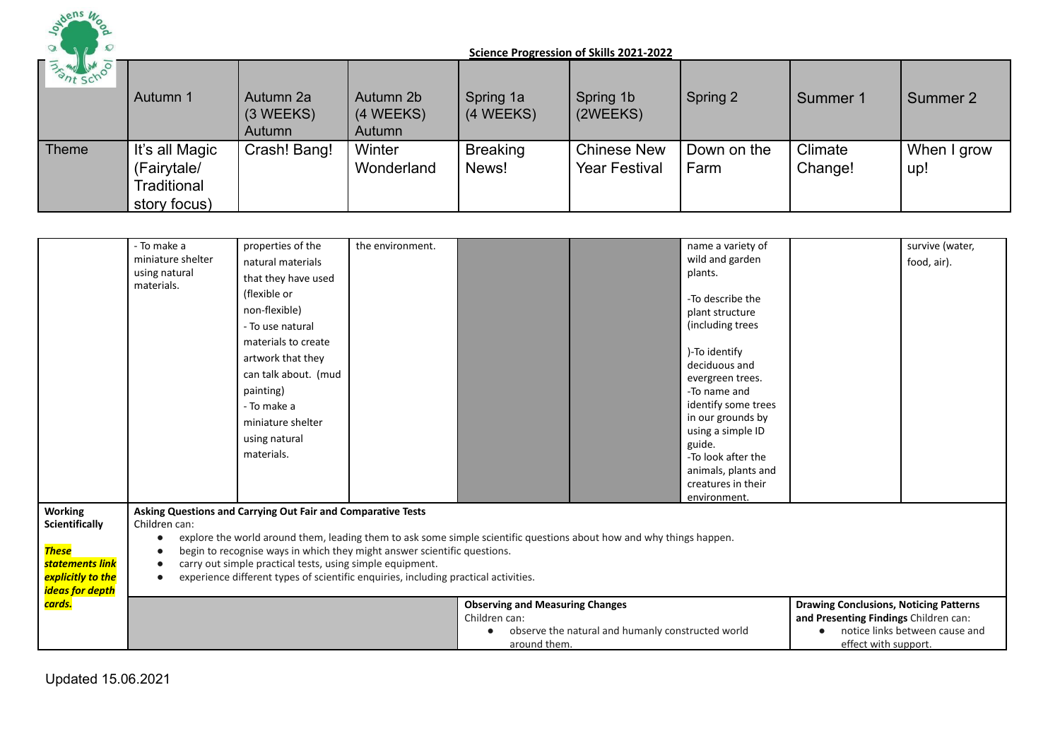

| <b>BASINE SCHOOL</b> | Autumn 1                                                     | Autumn 2a<br>$(3 \, \text{WEEKS})$<br>Autumn | Autumn 2b<br>(4 WEEKS)<br>Autumn | Spring 1a<br>(4 WEEKS)   | Spring 1b<br>(2WEEKS)                      | Spring 2            | Summer 1           | Summer 2           |
|----------------------|--------------------------------------------------------------|----------------------------------------------|----------------------------------|--------------------------|--------------------------------------------|---------------------|--------------------|--------------------|
| Theme                | It's all Magic<br>(Fairytale/<br>Traditional<br>story focus) | Crash! Bang!                                 | Winter<br>Wonderland             | <b>Breaking</b><br>News! | <b>Chinese New</b><br><b>Year Festival</b> | Down on the<br>Farm | Climate<br>Change! | When I grow<br>up! |

|                                  | - To make a                                                            | properties of the                                                                                                           | the environment. |                                        |                                                                                                                      | name a variety of                |                                               | survive (water, |  |
|----------------------------------|------------------------------------------------------------------------|-----------------------------------------------------------------------------------------------------------------------------|------------------|----------------------------------------|----------------------------------------------------------------------------------------------------------------------|----------------------------------|-----------------------------------------------|-----------------|--|
|                                  | miniature shelter                                                      | natural materials                                                                                                           |                  |                                        |                                                                                                                      | wild and garden                  |                                               | food, air).     |  |
|                                  | using natural                                                          | that they have used                                                                                                         |                  |                                        |                                                                                                                      | plants.                          |                                               |                 |  |
|                                  | materials.                                                             | (flexible or                                                                                                                |                  |                                        |                                                                                                                      | -To describe the                 |                                               |                 |  |
|                                  |                                                                        | non-flexible)                                                                                                               |                  |                                        |                                                                                                                      | plant structure                  |                                               |                 |  |
|                                  |                                                                        | - To use natural                                                                                                            |                  |                                        |                                                                                                                      | (including trees                 |                                               |                 |  |
|                                  |                                                                        | materials to create<br>artwork that they                                                                                    |                  |                                        |                                                                                                                      | )-To identify                    |                                               |                 |  |
|                                  |                                                                        | can talk about. (mud                                                                                                        |                  |                                        |                                                                                                                      | deciduous and                    |                                               |                 |  |
|                                  |                                                                        | painting)                                                                                                                   |                  |                                        |                                                                                                                      | evergreen trees.<br>-To name and |                                               |                 |  |
|                                  |                                                                        | - To make a                                                                                                                 |                  |                                        |                                                                                                                      | identify some trees              |                                               |                 |  |
|                                  |                                                                        |                                                                                                                             |                  |                                        |                                                                                                                      | in our grounds by                |                                               |                 |  |
|                                  |                                                                        | miniature shelter                                                                                                           |                  |                                        |                                                                                                                      | using a simple ID                |                                               |                 |  |
|                                  |                                                                        | using natural                                                                                                               |                  |                                        |                                                                                                                      | guide.                           |                                               |                 |  |
|                                  |                                                                        | materials.                                                                                                                  |                  |                                        |                                                                                                                      | -To look after the               |                                               |                 |  |
|                                  |                                                                        |                                                                                                                             |                  |                                        |                                                                                                                      | animals, plants and              |                                               |                 |  |
|                                  |                                                                        |                                                                                                                             |                  |                                        |                                                                                                                      | creatures in their               |                                               |                 |  |
|                                  |                                                                        |                                                                                                                             |                  |                                        |                                                                                                                      | environment.                     |                                               |                 |  |
| <b>Working</b><br>Scientifically | Children can:                                                          | Asking Questions and Carrying Out Fair and Comparative Tests                                                                |                  |                                        |                                                                                                                      |                                  |                                               |                 |  |
|                                  | $\bullet$                                                              |                                                                                                                             |                  |                                        | explore the world around them, leading them to ask some simple scientific questions about how and why things happen. |                                  |                                               |                 |  |
| <b>These</b>                     | $\bullet$                                                              | begin to recognise ways in which they might answer scientific questions.                                                    |                  |                                        |                                                                                                                      |                                  |                                               |                 |  |
| statements link                  | carry out simple practical tests, using simple equipment.<br>$\bullet$ |                                                                                                                             |                  |                                        |                                                                                                                      |                                  |                                               |                 |  |
| explicitly to the                |                                                                        | experience different types of scientific enquiries, including practical activities.                                         |                  |                                        |                                                                                                                      |                                  |                                               |                 |  |
| ideas for depth                  |                                                                        |                                                                                                                             |                  |                                        |                                                                                                                      |                                  |                                               |                 |  |
| cards.                           |                                                                        |                                                                                                                             |                  | <b>Observing and Measuring Changes</b> |                                                                                                                      |                                  | <b>Drawing Conclusions, Noticing Patterns</b> |                 |  |
|                                  |                                                                        |                                                                                                                             |                  | Children can:                          |                                                                                                                      |                                  | and Presenting Findings Children can:         |                 |  |
|                                  |                                                                        | observe the natural and humanly constructed world<br>notice links between cause and<br>around them.<br>effect with support. |                  |                                        |                                                                                                                      |                                  |                                               |                 |  |
|                                  |                                                                        |                                                                                                                             |                  |                                        |                                                                                                                      |                                  |                                               |                 |  |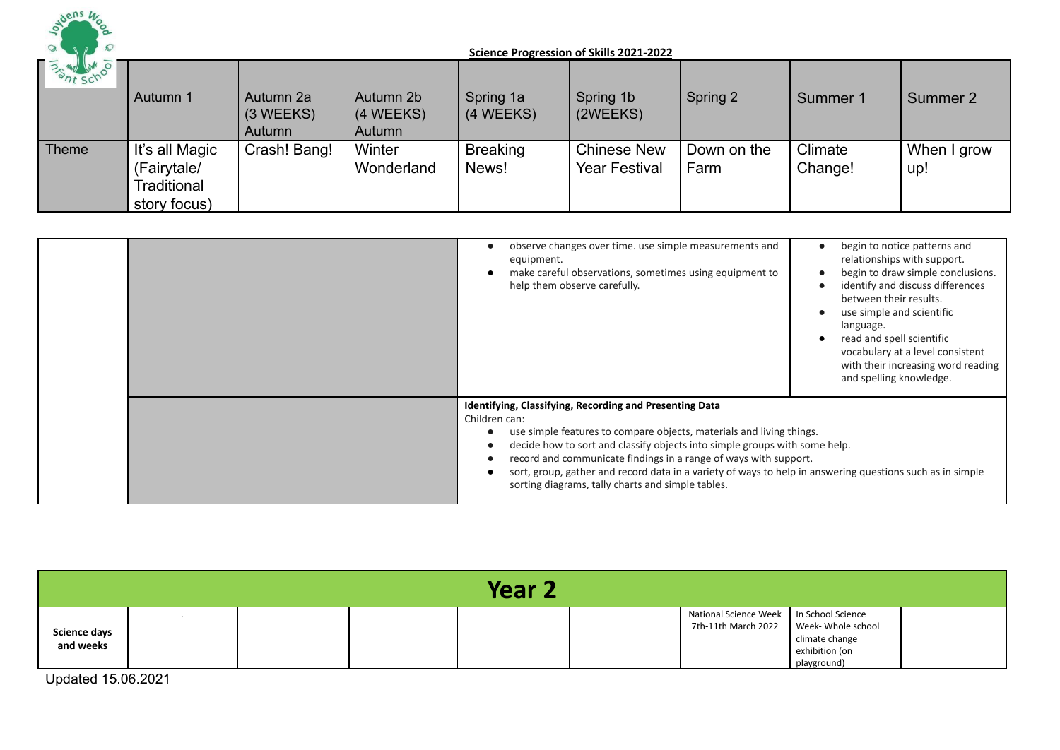

| <b>BASINE SCHOOL</b> | Autumn 1                                                     | Autumn 2a<br>$(3 \, \text{WEEKS})$<br>Autumn | Autumn 2b<br>(4 WEEKS)<br>Autumn | Spring 1a<br>(4 WEEKS)   | Spring 1b<br>(2WEEKS)                      | Spring 2            | Summer 1           | Summer 2           |
|----------------------|--------------------------------------------------------------|----------------------------------------------|----------------------------------|--------------------------|--------------------------------------------|---------------------|--------------------|--------------------|
| Theme                | It's all Magic<br>(Fairytale/<br>Traditional<br>story focus) | Crash! Bang!                                 | Winter<br>Wonderland             | <b>Breaking</b><br>News! | <b>Chinese New</b><br><b>Year Festival</b> | Down on the<br>Farm | Climate<br>Change! | When I grow<br>up! |

|  | observe changes over time. use simple measurements and<br>equipment.<br>make careful observations, sometimes using equipment to<br>help them observe carefully.                                                                                                                                                                                                                                                                                                      | begin to notice patterns and<br>relationships with support.<br>begin to draw simple conclusions.<br>identify and discuss differences<br>between their results.<br>use simple and scientific<br>language.<br>read and spell scientific<br>vocabulary at a level consistent<br>with their increasing word reading<br>and spelling knowledge. |
|--|----------------------------------------------------------------------------------------------------------------------------------------------------------------------------------------------------------------------------------------------------------------------------------------------------------------------------------------------------------------------------------------------------------------------------------------------------------------------|--------------------------------------------------------------------------------------------------------------------------------------------------------------------------------------------------------------------------------------------------------------------------------------------------------------------------------------------|
|  | Identifying, Classifying, Recording and Presenting Data<br>Children can:<br>use simple features to compare objects, materials and living things.<br>decide how to sort and classify objects into simple groups with some help.<br>record and communicate findings in a range of ways with support.<br>sort, group, gather and record data in a variety of ways to help in answering questions such as in simple<br>sorting diagrams, tally charts and simple tables. |                                                                                                                                                                                                                                                                                                                                            |

| <b>Year 2</b>                    |  |  |  |  |  |                                                                  |                                                                       |  |  |
|----------------------------------|--|--|--|--|--|------------------------------------------------------------------|-----------------------------------------------------------------------|--|--|
| <b>Science days</b><br>and weeks |  |  |  |  |  | National Science Week   In School Science<br>7th-11th March 2022 | Week- Whole school<br>climate change<br>exhibition (on<br>playground) |  |  |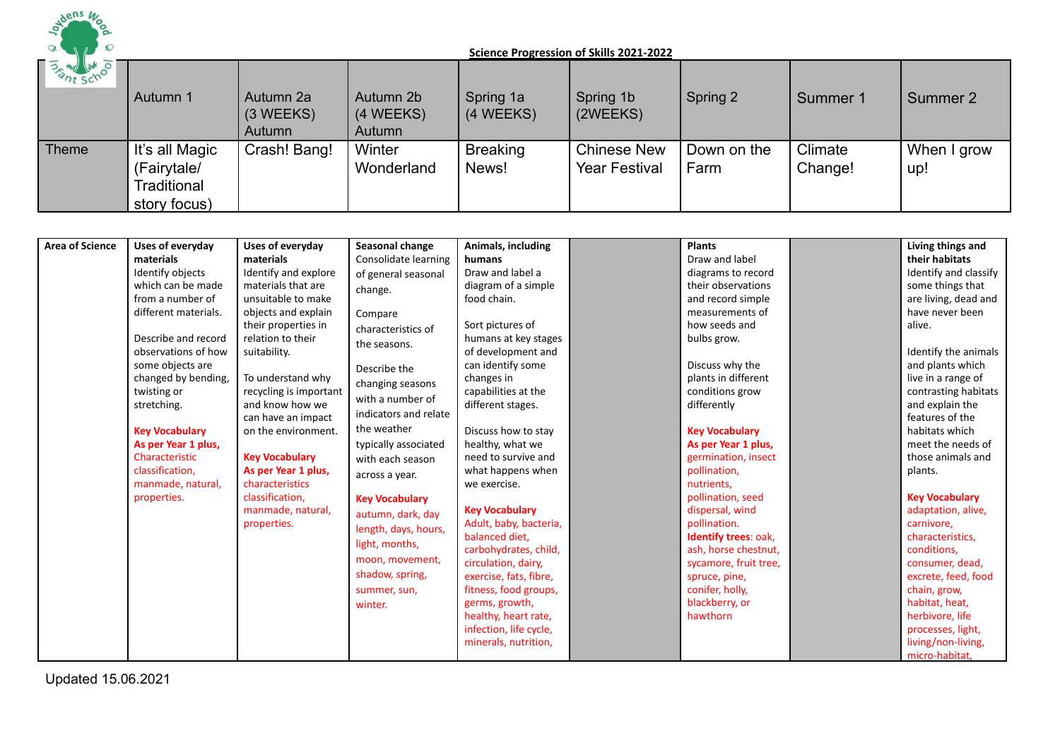

| 35 My LM 0   | Autumn 1                                                     | Autumn 2a<br>$(3 \, \text{WEEKS})$<br>Autumn | Autumn 2b<br>(4 WEEKS)<br>Autumn | Spring 1a<br>(4 WEEKS)   | Spring 1b<br>(2WEEKS)                      | Spring 2            | Summer 1           | Summer 2           |
|--------------|--------------------------------------------------------------|----------------------------------------------|----------------------------------|--------------------------|--------------------------------------------|---------------------|--------------------|--------------------|
| <b>Theme</b> | It's all Magic<br>(Fairytale/<br>Traditional<br>story focus) | Crash! Bang!                                 | Winter<br>Wonderland             | <b>Breaking</b><br>News! | <b>Chinese New</b><br><b>Year Festival</b> | Down on the<br>Farm | Climate<br>Change! | When I grow<br>up! |

| <b>Area of Science</b> | Uses of everyday      | Uses of everyday       | <b>Seasonal change</b> | Animals, including     | <b>Plants</b>         | Living things and     |
|------------------------|-----------------------|------------------------|------------------------|------------------------|-----------------------|-----------------------|
|                        | materials             | materials              | Consolidate learning   | humans                 | Draw and label        | their habitats        |
|                        | Identify objects      | Identify and explore   | of general seasonal    | Draw and label a       | diagrams to record    | Identify and classify |
|                        | which can be made     | materials that are     | change.                | diagram of a simple    | their observations    | some things that      |
|                        | from a number of      | unsuitable to make     |                        | food chain.            | and record simple     | are living, dead and  |
|                        | different materials.  | objects and explain    | Compare                |                        | measurements of       | have never been       |
|                        |                       | their properties in    | characteristics of     | Sort pictures of       | how seeds and         | alive.                |
|                        | Describe and record   | relation to their      | the seasons.           | humans at key stages   | bulbs grow.           |                       |
|                        | observations of how   | suitability.           |                        | of development and     |                       | Identify the animals  |
|                        | some objects are      |                        | Describe the           | can identify some      | Discuss why the       | and plants which      |
|                        | changed by bending,   | To understand why      | changing seasons       | changes in             | plants in different   | live in a range of    |
|                        | twisting or           | recycling is important | with a number of       | capabilities at the    | conditions grow       | contrasting habitats  |
|                        | stretching.           | and know how we        |                        | different stages.      | differently           | and explain the       |
|                        |                       | can have an impact     | indicators and relate  |                        |                       | features of the       |
|                        | <b>Key Vocabulary</b> | on the environment.    | the weather            | Discuss how to stay    | <b>Key Vocabulary</b> | habitats which        |
|                        | As per Year 1 plus,   |                        | typically associated   | healthy, what we       | As per Year 1 plus,   | meet the needs of     |
|                        | Characteristic        | <b>Key Vocabulary</b>  | with each season       | need to survive and    | germination, insect   | those animals and     |
|                        | classification,       | As per Year 1 plus,    | across a year.         | what happens when      | pollination,          | plants.               |
|                        | manmade, natural,     | characteristics        |                        | we exercise.           | nutrients,            |                       |
|                        | properties.           | classification,        | <b>Key Vocabulary</b>  |                        | pollination, seed     | <b>Key Vocabulary</b> |
|                        |                       | manmade, natural,      | autumn, dark, day      | <b>Key Vocabulary</b>  | dispersal, wind       | adaptation, alive,    |
|                        |                       | properties.            | length, days, hours,   | Adult, baby, bacteria, | pollination.          | carnivore,            |
|                        |                       |                        | light, months,         | balanced diet,         | Identify trees: oak,  | characteristics,      |
|                        |                       |                        | moon, movement,        | carbohydrates, child,  | ash, horse chestnut,  | conditions,           |
|                        |                       |                        |                        | circulation, dairy,    | sycamore, fruit tree, | consumer, dead,       |
|                        |                       |                        | shadow, spring,        | exercise, fats, fibre, | spruce, pine,         | excrete, feed, food   |
|                        |                       |                        | summer, sun,           | fitness, food groups,  | conifer, holly,       | chain, grow,          |
|                        |                       |                        | winter.                | germs, growth,         | blackberry, or        | habitat, heat,        |
|                        |                       |                        |                        | healthy, heart rate,   | hawthorn              | herbivore, life       |
|                        |                       |                        |                        | infection, life cycle, |                       | processes, light,     |
|                        |                       |                        |                        | minerals, nutrition,   |                       | living/non-living,    |
|                        |                       |                        |                        |                        |                       | micro-habitat,        |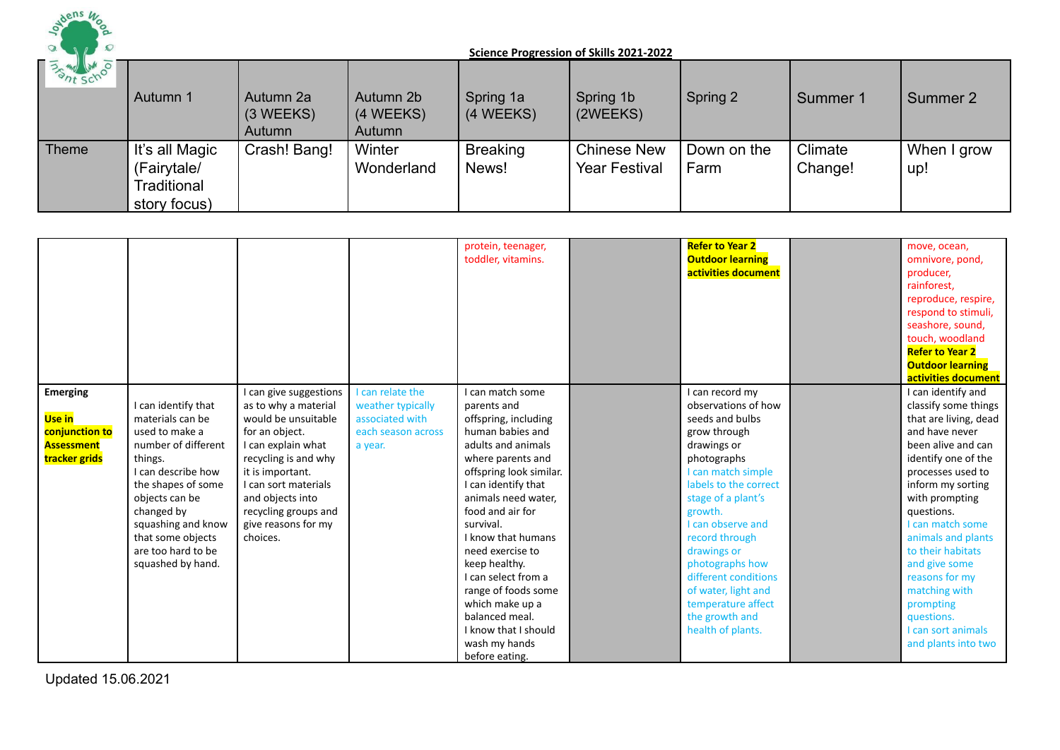

| <b>BASINE SCHOOL</b> | Autumn 1                                                     | Autumn 2a<br>(3 WEEKS)<br>Autumn | Autumn 2b<br>(4 WEEKS)<br>Autumn | Spring 1a<br>(4 WEEKS)   | Spring 1b<br>(2WEEKS)                      | Spring 2            | Summer 1           | Summer 2           |
|----------------------|--------------------------------------------------------------|----------------------------------|----------------------------------|--------------------------|--------------------------------------------|---------------------|--------------------|--------------------|
| Theme                | It's all Magic<br>(Fairytale/<br>Traditional<br>story focus) | Crash! Bang!                     | Winter<br>Wonderland             | <b>Breaking</b><br>News! | <b>Chinese New</b><br><b>Year Festival</b> | Down on the<br>Farm | Climate<br>Change! | When I grow<br>up! |

|                                                                                          |                                                                                                                                                                                                                                                               |                                                                                                                                                                                                                                                                  |                                                                                           | protein, teenager,<br>toddler, vitamins.                                                                                                                                                                                                                                                                                                                                                                                                  | <b>Refer to Year 2</b><br><b>Outdoor learning</b><br>activities document                                                                                                                                                                                                                                                                                                     | move, ocean,<br>omnivore, pond,<br>producer,<br>rainforest.<br>reproduce, respire,<br>respond to stimuli,<br>seashore, sound,<br>touch, woodland<br><b>Refer to Year 2</b><br><b>Outdoor learning</b><br>activities document                                                                                                                                                                            |
|------------------------------------------------------------------------------------------|---------------------------------------------------------------------------------------------------------------------------------------------------------------------------------------------------------------------------------------------------------------|------------------------------------------------------------------------------------------------------------------------------------------------------------------------------------------------------------------------------------------------------------------|-------------------------------------------------------------------------------------------|-------------------------------------------------------------------------------------------------------------------------------------------------------------------------------------------------------------------------------------------------------------------------------------------------------------------------------------------------------------------------------------------------------------------------------------------|------------------------------------------------------------------------------------------------------------------------------------------------------------------------------------------------------------------------------------------------------------------------------------------------------------------------------------------------------------------------------|---------------------------------------------------------------------------------------------------------------------------------------------------------------------------------------------------------------------------------------------------------------------------------------------------------------------------------------------------------------------------------------------------------|
| <b>Emerging</b><br><b>Use in</b><br>conjunction to<br><b>Assessment</b><br>tracker grids | I can identify that<br>materials can be<br>used to make a<br>number of different<br>things.<br>I can describe how<br>the shapes of some<br>objects can be<br>changed by<br>squashing and know<br>that some objects<br>are too hard to be<br>squashed by hand. | I can give suggestions<br>as to why a material<br>would be unsuitable<br>for an object.<br>I can explain what<br>recycling is and why<br>it is important.<br>I can sort materials<br>and objects into<br>recycling groups and<br>give reasons for my<br>choices. | I can relate the<br>weather typically<br>associated with<br>each season across<br>a year. | I can match some<br>parents and<br>offspring, including<br>human babies and<br>adults and animals<br>where parents and<br>offspring look similar.<br>I can identify that<br>animals need water.<br>food and air for<br>survival.<br>I know that humans<br>need exercise to<br>keep healthy.<br>I can select from a<br>range of foods some<br>which make up a<br>balanced meal.<br>I know that I should<br>wash my hands<br>before eating. | I can record my<br>observations of how<br>seeds and bulbs<br>grow through<br>drawings or<br>photographs<br>I can match simple<br>labels to the correct<br>stage of a plant's<br>growth.<br>I can observe and<br>record through<br>drawings or<br>photographs how<br>different conditions<br>of water, light and<br>temperature affect<br>the growth and<br>health of plants. | I can identify and<br>classify some things<br>that are living, dead<br>and have never<br>been alive and can<br>identify one of the<br>processes used to<br>inform my sorting<br>with prompting<br>questions.<br>I can match some<br>animals and plants<br>to their habitats<br>and give some<br>reasons for my<br>matching with<br>prompting<br>questions.<br>I can sort animals<br>and plants into two |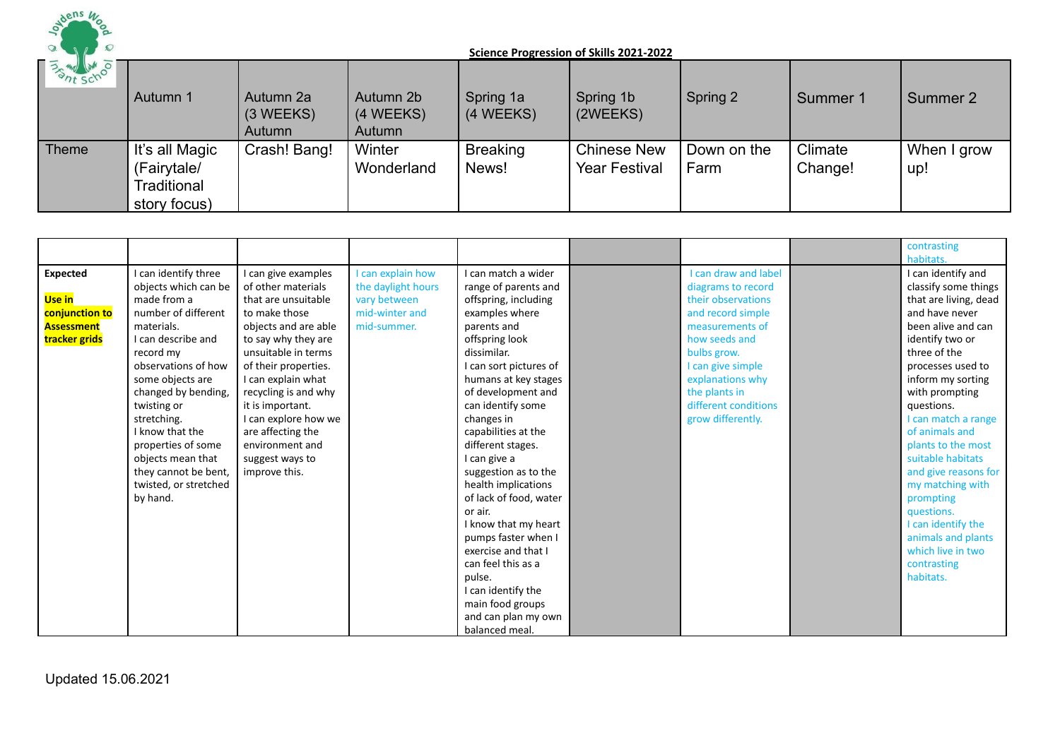

| 35 My Lim    | Autumn 1                                                     | Autumn 2a<br>$(3 \, \text{WEEKS})$<br>Autumn | Autumn 2b<br>(4 WEEKS)<br>Autumn | Spring 1a<br>(4 WEEKS)   | Spring 1b<br>(2WEEKS)                      | Spring 2            | Summer 1           | Summer 2           |
|--------------|--------------------------------------------------------------|----------------------------------------------|----------------------------------|--------------------------|--------------------------------------------|---------------------|--------------------|--------------------|
| <b>Theme</b> | It's all Magic<br>(Fairytale/<br>Traditional<br>story focus) | Crash! Bang!                                 | Winter<br>Wonderland             | <b>Breaking</b><br>News! | <b>Chinese New</b><br><b>Year Festival</b> | Down on the<br>Farm | Climate<br>Change! | When I grow<br>up! |

|                                                                                   |                                                                                                                                                                                                                                                                                                                                                                |                                                                                                                                                                                                                                                                                                                                                       |                                                                                          |                                                                                                                                                                                                                                                                                                                                                                                                  |                                                                                                                                                                                                                                                        | contrasting                                                                                                                                                                                                                                                                                                                                                                                      |
|-----------------------------------------------------------------------------------|----------------------------------------------------------------------------------------------------------------------------------------------------------------------------------------------------------------------------------------------------------------------------------------------------------------------------------------------------------------|-------------------------------------------------------------------------------------------------------------------------------------------------------------------------------------------------------------------------------------------------------------------------------------------------------------------------------------------------------|------------------------------------------------------------------------------------------|--------------------------------------------------------------------------------------------------------------------------------------------------------------------------------------------------------------------------------------------------------------------------------------------------------------------------------------------------------------------------------------------------|--------------------------------------------------------------------------------------------------------------------------------------------------------------------------------------------------------------------------------------------------------|--------------------------------------------------------------------------------------------------------------------------------------------------------------------------------------------------------------------------------------------------------------------------------------------------------------------------------------------------------------------------------------------------|
| <b>Expected</b><br>Use in<br>conjunction to<br><b>Assessment</b><br>tracker grids | I can identify three<br>objects which can be<br>made from a<br>number of different<br>materials.<br>I can describe and<br>record my<br>observations of how<br>some objects are<br>changed by bending,<br>twisting or<br>stretching.<br>I know that the<br>properties of some<br>objects mean that<br>they cannot be bent,<br>twisted, or stretched<br>by hand. | I can give examples<br>of other materials<br>that are unsuitable<br>to make those<br>objects and are able<br>to say why they are<br>unsuitable in terms<br>of their properties.<br>I can explain what<br>recycling is and why<br>it is important.<br>I can explore how we<br>are affecting the<br>environment and<br>suggest ways to<br>improve this. | I can explain how<br>the daylight hours<br>vary between<br>mid-winter and<br>mid-summer. | I can match a wider<br>range of parents and<br>offspring, including<br>examples where<br>parents and<br>offspring look<br>dissimilar.<br>I can sort pictures of<br>humans at key stages<br>of development and<br>can identify some<br>changes in<br>capabilities at the<br>different stages.<br>I can give a<br>suggestion as to the<br>health implications<br>of lack of food, water<br>or air. | <b>I can draw and label</b><br>diagrams to record<br>their observations<br>and record simple<br>measurements of<br>how seeds and<br>bulbs grow.<br>I can give simple<br>explanations why<br>the plants in<br>different conditions<br>grow differently. | habitats.<br>I can identify and<br>classify some things<br>that are living, dead<br>and have never<br>been alive and can<br>identify two or<br>three of the<br>processes used to<br>inform my sorting<br>with prompting<br>questions.<br>I can match a range<br>of animals and<br>plants to the most<br>suitable habitats<br>and give reasons for<br>my matching with<br>prompting<br>questions. |
|                                                                                   |                                                                                                                                                                                                                                                                                                                                                                |                                                                                                                                                                                                                                                                                                                                                       |                                                                                          | I know that my heart<br>pumps faster when I<br>exercise and that I<br>can feel this as a<br>pulse.<br>I can identify the                                                                                                                                                                                                                                                                         |                                                                                                                                                                                                                                                        | I can identify the<br>animals and plants<br>which live in two<br>contrasting<br>habitats.                                                                                                                                                                                                                                                                                                        |
|                                                                                   |                                                                                                                                                                                                                                                                                                                                                                |                                                                                                                                                                                                                                                                                                                                                       |                                                                                          | main food groups<br>and can plan my own<br>balanced meal.                                                                                                                                                                                                                                                                                                                                        |                                                                                                                                                                                                                                                        |                                                                                                                                                                                                                                                                                                                                                                                                  |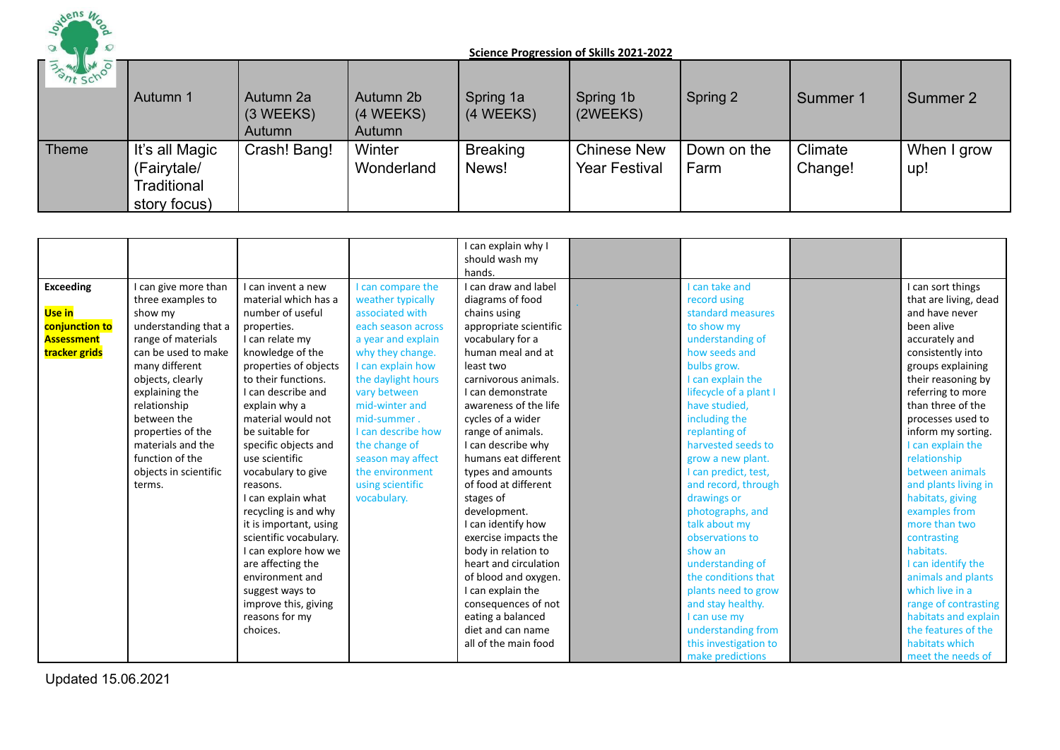

| 35 My WM 0 | Autumn 1                                                     | Autumn 2a<br>$(3 \, \text{WEEKS})$<br>Autumn | Autumn 2b<br>(4 WEEKS)<br>Autumn | Spring 1a<br>(4 WEEKS)   | Spring 1b<br>(2WEEKS)                      | Spring 2            | Summer 1           | Summer 2           |
|------------|--------------------------------------------------------------|----------------------------------------------|----------------------------------|--------------------------|--------------------------------------------|---------------------|--------------------|--------------------|
| Theme      | It's all Magic<br>(Fairytale/<br>Traditional<br>story focus) | Crash! Bang!                                 | Winter<br>Wonderland             | <b>Breaking</b><br>News! | <b>Chinese New</b><br><b>Year Festival</b> | Down on the<br>Farm | Climate<br>Change! | When I grow<br>up! |

|                   |                       |                        |                    | can explain why I      |                        |                       |
|-------------------|-----------------------|------------------------|--------------------|------------------------|------------------------|-----------------------|
|                   |                       |                        |                    | should wash my         |                        |                       |
|                   |                       |                        |                    | hands.                 |                        |                       |
| <b>Exceeding</b>  | I can give more than  | I can invent a new     | I can compare the  | I can draw and label   | I can take and         | I can sort things     |
|                   | three examples to     | material which has a   | weather typically  | diagrams of food       | record using           | that are living, dead |
| Use in            | show my               | number of useful       | associated with    | chains using           | standard measures      | and have never        |
| conjunction to    | understanding that a  | properties.            | each season across | appropriate scientific | to show my             | been alive            |
| <b>Assessment</b> | range of materials    | I can relate my        | a year and explain | vocabulary for a       | understanding of       | accurately and        |
| tracker grids     | can be used to make   | knowledge of the       | why they change.   | human meal and at      | how seeds and          | consistently into     |
|                   | many different        | properties of objects  | I can explain how  | least two              | bulbs grow.            | groups explaining     |
|                   | objects, clearly      | to their functions.    | the daylight hours | carnivorous animals.   | I can explain the      | their reasoning by    |
|                   | explaining the        | I can describe and     | vary between       | I can demonstrate      | lifecycle of a plant I | referring to more     |
|                   | relationship          | explain why a          | mid-winter and     | awareness of the life  | have studied.          | than three of the     |
|                   | between the           | material would not     | mid-summer.        | cycles of a wider      | including the          | processes used to     |
|                   | properties of the     | be suitable for        | I can describe how | range of animals.      | replanting of          | inform my sorting.    |
|                   | materials and the     | specific objects and   | the change of      | I can describe why     | harvested seeds to     | I can explain the     |
|                   | function of the       | use scientific         | season may affect  | humans eat different   | grow a new plant.      | relationship          |
|                   | objects in scientific | vocabulary to give     | the environment    | types and amounts      | I can predict, test,   | between animals       |
|                   | terms.                | reasons.               | using scientific   | of food at different   | and record, through    | and plants living in  |
|                   |                       | I can explain what     | vocabulary.        | stages of              | drawings or            | habitats, giving      |
|                   |                       | recycling is and why   |                    | development.           | photographs, and       | examples from         |
|                   |                       | it is important, using |                    | I can identify how     | talk about my          | more than two         |
|                   |                       | scientific vocabulary. |                    | exercise impacts the   | observations to        | contrasting           |
|                   |                       | I can explore how we   |                    | body in relation to    | show an                | habitats.             |
|                   |                       | are affecting the      |                    | heart and circulation  | understanding of       | I can identify the    |
|                   |                       | environment and        |                    | of blood and oxygen.   | the conditions that    | animals and plants    |
|                   |                       | suggest ways to        |                    | I can explain the      | plants need to grow    | which live in a       |
|                   |                       | improve this, giving   |                    | consequences of not    | and stay healthy.      | range of contrasting  |
|                   |                       | reasons for my         |                    | eating a balanced      | I can use my           | habitats and explain  |
|                   |                       | choices.               |                    | diet and can name      | understanding from     | the features of the   |
|                   |                       |                        |                    | all of the main food   | this investigation to  | habitats which        |
|                   |                       |                        |                    |                        | make predictions       | meet the needs of     |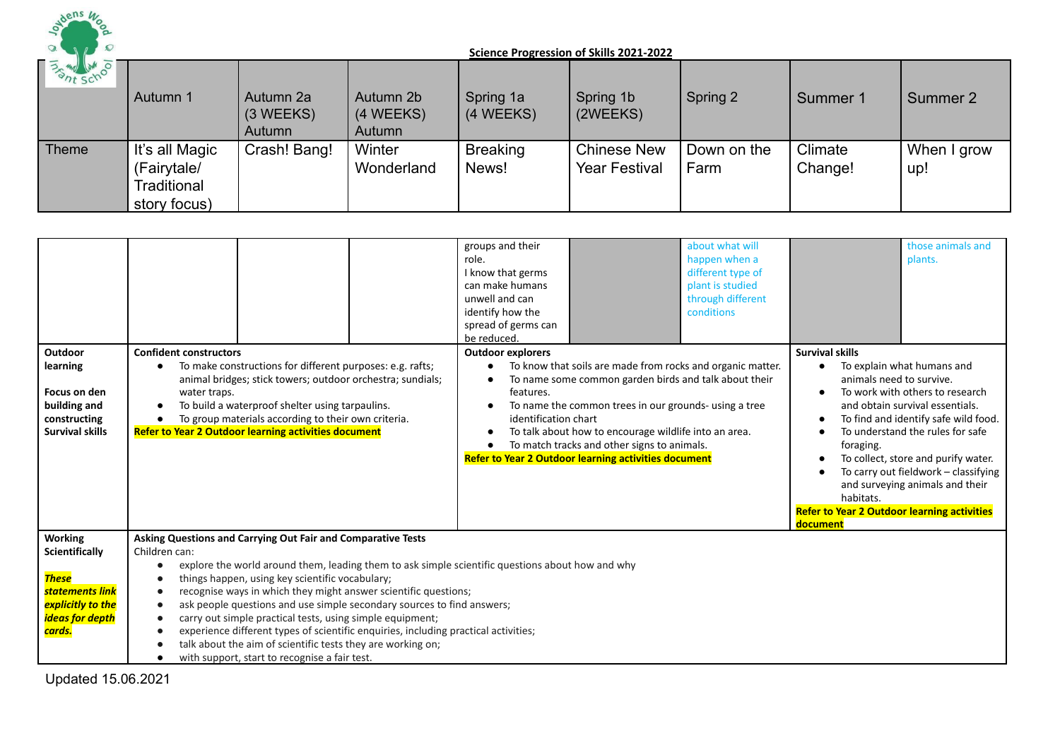

| <b>BATT SCHOOLS</b> | Autumn 1                                                     | Autumn 2a<br>$(3 \, \text{WEEKS})$<br>Autumn | Autumn 2b<br>(4 WEEKS)<br>Autumn | Spring 1a<br>(4 WEEKS)   | Spring 1b<br>(2WEEKS)                      | Spring 2            | Summer 1           | Summer 2           |
|---------------------|--------------------------------------------------------------|----------------------------------------------|----------------------------------|--------------------------|--------------------------------------------|---------------------|--------------------|--------------------|
| Theme               | It's all Magic<br>(Fairytale/<br>Traditional<br>story focus) | Crash! Bang!                                 | Winter<br>Wonderland             | <b>Breaking</b><br>News! | <b>Chinese New</b><br><b>Year Festival</b> | Down on the<br>Farm | Climate<br>Change! | When I grow<br>up! |

|                                                                                                                                                  |                                                                                                                                                                                                                                                                                                                                                                                                                                                                                                                                                                                                                                                                                                                        | groups and their<br>role.<br>I know that germs<br>can make humans<br>unwell and can<br>identify how the<br>spread of germs can<br>be reduced. |                                                                                                                                                                                                                                                                                                                                                     | about what will<br>happen when a<br>different type of<br>plant is studied<br>through different<br>conditions |                                                                                                                                                | those animals and<br>plants.                                                                                                                                                                                                                                                                   |
|--------------------------------------------------------------------------------------------------------------------------------------------------|------------------------------------------------------------------------------------------------------------------------------------------------------------------------------------------------------------------------------------------------------------------------------------------------------------------------------------------------------------------------------------------------------------------------------------------------------------------------------------------------------------------------------------------------------------------------------------------------------------------------------------------------------------------------------------------------------------------------|-----------------------------------------------------------------------------------------------------------------------------------------------|-----------------------------------------------------------------------------------------------------------------------------------------------------------------------------------------------------------------------------------------------------------------------------------------------------------------------------------------------------|--------------------------------------------------------------------------------------------------------------|------------------------------------------------------------------------------------------------------------------------------------------------|------------------------------------------------------------------------------------------------------------------------------------------------------------------------------------------------------------------------------------------------------------------------------------------------|
| Outdoor<br>learning<br>Focus on den<br>building and<br>constructing<br><b>Survival skills</b>                                                    | <b>Confident constructors</b><br>To make constructions for different purposes: e.g. rafts;<br>animal bridges; stick towers; outdoor orchestra; sundials;<br>water traps.<br>To build a waterproof shelter using tarpaulins.<br>$\bullet$<br>To group materials according to their own criteria.<br><b>Refer to Year 2 Outdoor learning activities document</b>                                                                                                                                                                                                                                                                                                                                                         | <b>Outdoor explorers</b><br>features.<br>identification chart                                                                                 | To know that soils are made from rocks and organic matter.<br>To name some common garden birds and talk about their<br>To name the common trees in our grounds- using a tree<br>To talk about how to encourage wildlife into an area.<br>To match tracks and other signs to animals.<br><b>Refer to Year 2 Outdoor learning activities document</b> |                                                                                                              | <b>Survival skills</b><br>animals need to survive.<br>foraging.<br>habitats.<br><b>Refer to Year 2 Outdoor learning activities</b><br>document | To explain what humans and<br>To work with others to research<br>and obtain survival essentials.<br>To find and identify safe wild food.<br>To understand the rules for safe<br>To collect, store and purify water.<br>To carry out fieldwork - classifying<br>and surveying animals and their |
| <b>Working</b><br><b>Scientifically</b><br><b>These</b><br><mark>statements link</mark><br>explicitly to the<br><b>ideas for depth</b><br>cards. | Asking Questions and Carrying Out Fair and Comparative Tests<br>Children can:<br>explore the world around them, leading them to ask simple scientific questions about how and why<br>$\bullet$<br>things happen, using key scientific vocabulary;<br>$\bullet$<br>recognise ways in which they might answer scientific questions;<br>$\bullet$<br>ask people questions and use simple secondary sources to find answers;<br>$\bullet$<br>carry out simple practical tests, using simple equipment;<br>$\bullet$<br>experience different types of scientific enquiries, including practical activities;<br>talk about the aim of scientific tests they are working on;<br>with support, start to recognise a fair test. |                                                                                                                                               |                                                                                                                                                                                                                                                                                                                                                     |                                                                                                              |                                                                                                                                                |                                                                                                                                                                                                                                                                                                |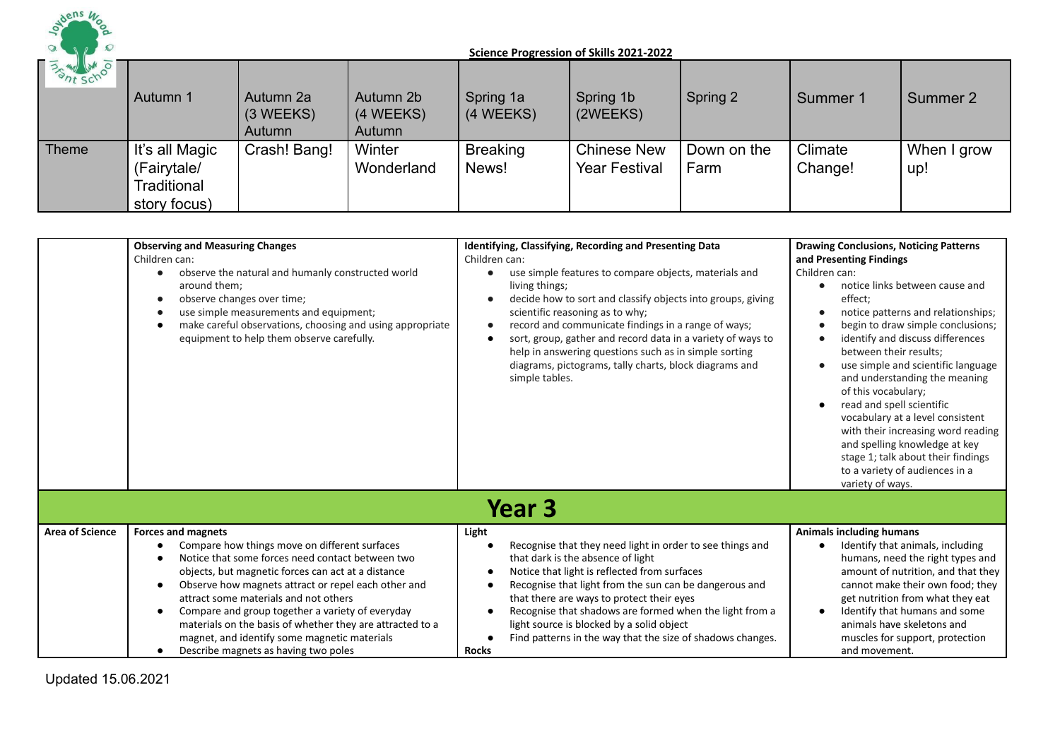

| <b>BATT SCHOOLS</b> | Autumn 1                                                     | Autumn 2a<br>$(3 \, \text{WEEKS})$<br>Autumn | Autumn 2b<br>(4 WEEKS)<br>Autumn | Spring 1a<br>(4 WEEKS)   | Spring 1b<br>(2WEEKS)                      | Spring 2            | Summer 1           | Summer 2           |
|---------------------|--------------------------------------------------------------|----------------------------------------------|----------------------------------|--------------------------|--------------------------------------------|---------------------|--------------------|--------------------|
| Theme               | It's all Magic<br>(Fairytale/<br>Traditional<br>story focus) | Crash! Bang!                                 | Winter<br>Wonderland             | <b>Breaking</b><br>News! | <b>Chinese New</b><br><b>Year Festival</b> | Down on the<br>Farm | Climate<br>Change! | When I grow<br>up! |

|                        | <b>Observing and Measuring Changes</b><br>Children can:<br>observe the natural and humanly constructed world<br>around them;<br>observe changes over time;<br>use simple measurements and equipment;<br>make careful observations, choosing and using appropriate<br>equipment to help them observe carefully.                                                                                                                                                                                | Identifying, Classifying, Recording and Presenting Data<br>Children can:<br>use simple features to compare objects, materials and<br>living things;<br>decide how to sort and classify objects into groups, giving<br>scientific reasoning as to why;<br>record and communicate findings in a range of ways;<br>sort, group, gather and record data in a variety of ways to<br>help in answering questions such as in simple sorting<br>diagrams, pictograms, tally charts, block diagrams and<br>simple tables. | <b>Drawing Conclusions, Noticing Patterns</b><br>and Presenting Findings<br>Children can:<br>notice links between cause and<br>effect;<br>notice patterns and relationships;<br>begin to draw simple conclusions;<br>$\blacksquare$<br>identify and discuss differences<br>٠<br>between their results:<br>use simple and scientific language<br>and understanding the meaning<br>of this vocabulary;<br>read and spell scientific<br>$\bullet$<br>vocabulary at a level consistent<br>with their increasing word reading<br>and spelling knowledge at key<br>stage 1; talk about their findings |
|------------------------|-----------------------------------------------------------------------------------------------------------------------------------------------------------------------------------------------------------------------------------------------------------------------------------------------------------------------------------------------------------------------------------------------------------------------------------------------------------------------------------------------|------------------------------------------------------------------------------------------------------------------------------------------------------------------------------------------------------------------------------------------------------------------------------------------------------------------------------------------------------------------------------------------------------------------------------------------------------------------------------------------------------------------|-------------------------------------------------------------------------------------------------------------------------------------------------------------------------------------------------------------------------------------------------------------------------------------------------------------------------------------------------------------------------------------------------------------------------------------------------------------------------------------------------------------------------------------------------------------------------------------------------|
|                        |                                                                                                                                                                                                                                                                                                                                                                                                                                                                                               | <b>Year 3</b>                                                                                                                                                                                                                                                                                                                                                                                                                                                                                                    | to a variety of audiences in a<br>variety of ways.                                                                                                                                                                                                                                                                                                                                                                                                                                                                                                                                              |
| <b>Area of Science</b> | <b>Forces and magnets</b><br>Compare how things move on different surfaces<br>Notice that some forces need contact between two<br>objects, but magnetic forces can act at a distance<br>Observe how magnets attract or repel each other and<br>attract some materials and not others<br>Compare and group together a variety of everyday<br>materials on the basis of whether they are attracted to a<br>magnet, and identify some magnetic materials<br>Describe magnets as having two poles | Light<br>Recognise that they need light in order to see things and<br>that dark is the absence of light<br>Notice that light is reflected from surfaces<br>Recognise that light from the sun can be dangerous and<br>that there are ways to protect their eyes<br>Recognise that shadows are formed when the light from a<br>light source is blocked by a solid object<br>Find patterns in the way that the size of shadows changes.<br><b>Rocks</b>                                                             | <b>Animals including humans</b><br>Identify that animals, including<br>$\bullet$<br>humans, need the right types and<br>amount of nutrition, and that they<br>cannot make their own food; they<br>get nutrition from what they eat<br>Identify that humans and some<br>$\bullet$<br>animals have skeletons and<br>muscles for support, protection<br>and movement.                                                                                                                                                                                                                              |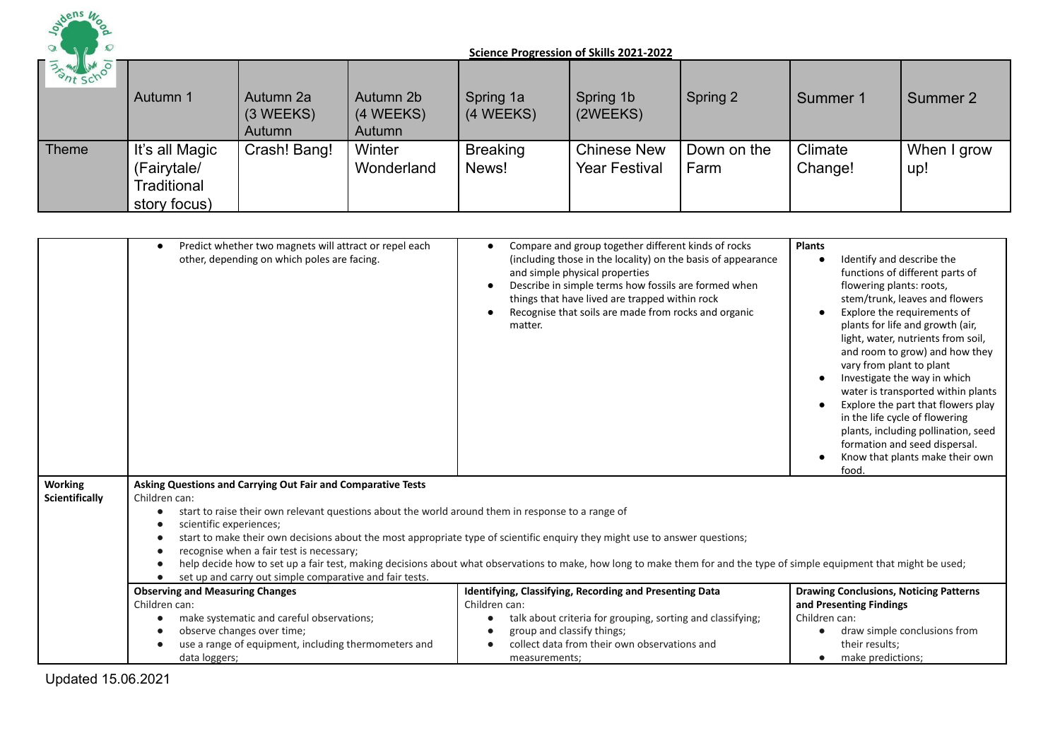

| <b>BATT SCHOOLS</b> | Autumn 1                                                     | Autumn 2a<br>$(3 \, \text{WEEKS})$<br>Autumn | Autumn 2b<br>(4 WEEKS)<br>Autumn | Spring 1a<br>(4 WEEKS)   | Spring 1b<br>(2WEEKS)                      | Spring 2            | Summer 1           | Summer 2           |
|---------------------|--------------------------------------------------------------|----------------------------------------------|----------------------------------|--------------------------|--------------------------------------------|---------------------|--------------------|--------------------|
| <b>Theme</b>        | It's all Magic<br>(Fairytale/<br>Traditional<br>story focus) | Crash! Bang!                                 | Winter<br>Wonderland             | <b>Breaking</b><br>News! | <b>Chinese New</b><br><b>Year Festival</b> | Down on the<br>Farm | Climate<br>Change! | When I grow<br>up! |

|                                  | Predict whether two magnets will attract or repel each<br>other, depending on which poles are facing.                                                                                                                                                                                                                | Compare and group together different kinds of rocks<br>$\bullet$<br>(including those in the locality) on the basis of appearance<br>and simple physical properties<br>Describe in simple terms how fossils are formed when<br>things that have lived are trapped within rock<br>Recognise that soils are made from rocks and organic<br>matter. | <b>Plants</b><br>Identify and describe the<br>$\bullet$<br>functions of different parts of<br>flowering plants: roots,<br>stem/trunk, leaves and flowers<br>Explore the requirements of<br>$\bullet$<br>plants for life and growth (air,<br>light, water, nutrients from soil,<br>and room to grow) and how they<br>vary from plant to plant<br>Investigate the way in which<br>water is transported within plants<br>Explore the part that flowers play<br>in the life cycle of flowering<br>plants, including pollination, seed<br>formation and seed dispersal.<br>Know that plants make their own<br>food |
|----------------------------------|----------------------------------------------------------------------------------------------------------------------------------------------------------------------------------------------------------------------------------------------------------------------------------------------------------------------|-------------------------------------------------------------------------------------------------------------------------------------------------------------------------------------------------------------------------------------------------------------------------------------------------------------------------------------------------|---------------------------------------------------------------------------------------------------------------------------------------------------------------------------------------------------------------------------------------------------------------------------------------------------------------------------------------------------------------------------------------------------------------------------------------------------------------------------------------------------------------------------------------------------------------------------------------------------------------|
| <b>Working</b><br>Scientifically | Asking Questions and Carrying Out Fair and Comparative Tests<br>Children can:<br>start to raise their own relevant questions about the world around them in response to a range of<br>scientific experiences;<br>recognise when a fair test is necessary;<br>set up and carry out simple comparative and fair tests. | start to make their own decisions about the most appropriate type of scientific enquiry they might use to answer questions;<br>help decide how to set up a fair test, making decisions about what observations to make, how long to make them for and the type of simple equipment that might be used;                                          |                                                                                                                                                                                                                                                                                                                                                                                                                                                                                                                                                                                                               |
|                                  | <b>Observing and Measuring Changes</b>                                                                                                                                                                                                                                                                               | Identifying, Classifying, Recording and Presenting Data                                                                                                                                                                                                                                                                                         | <b>Drawing Conclusions, Noticing Patterns</b>                                                                                                                                                                                                                                                                                                                                                                                                                                                                                                                                                                 |
|                                  | Children can:                                                                                                                                                                                                                                                                                                        | Children can:                                                                                                                                                                                                                                                                                                                                   | and Presenting Findings<br>Children can:                                                                                                                                                                                                                                                                                                                                                                                                                                                                                                                                                                      |
|                                  | make systematic and careful observations;<br>observe changes over time;                                                                                                                                                                                                                                              | talk about criteria for grouping, sorting and classifying;<br>$\bullet$<br>group and classify things;                                                                                                                                                                                                                                           | draw simple conclusions from<br>$\bullet$                                                                                                                                                                                                                                                                                                                                                                                                                                                                                                                                                                     |
|                                  | use a range of equipment, including thermometers and                                                                                                                                                                                                                                                                 | collect data from their own observations and                                                                                                                                                                                                                                                                                                    | their results;                                                                                                                                                                                                                                                                                                                                                                                                                                                                                                                                                                                                |
|                                  | data loggers;                                                                                                                                                                                                                                                                                                        | measurements;                                                                                                                                                                                                                                                                                                                                   | make predictions;<br>$\bullet$                                                                                                                                                                                                                                                                                                                                                                                                                                                                                                                                                                                |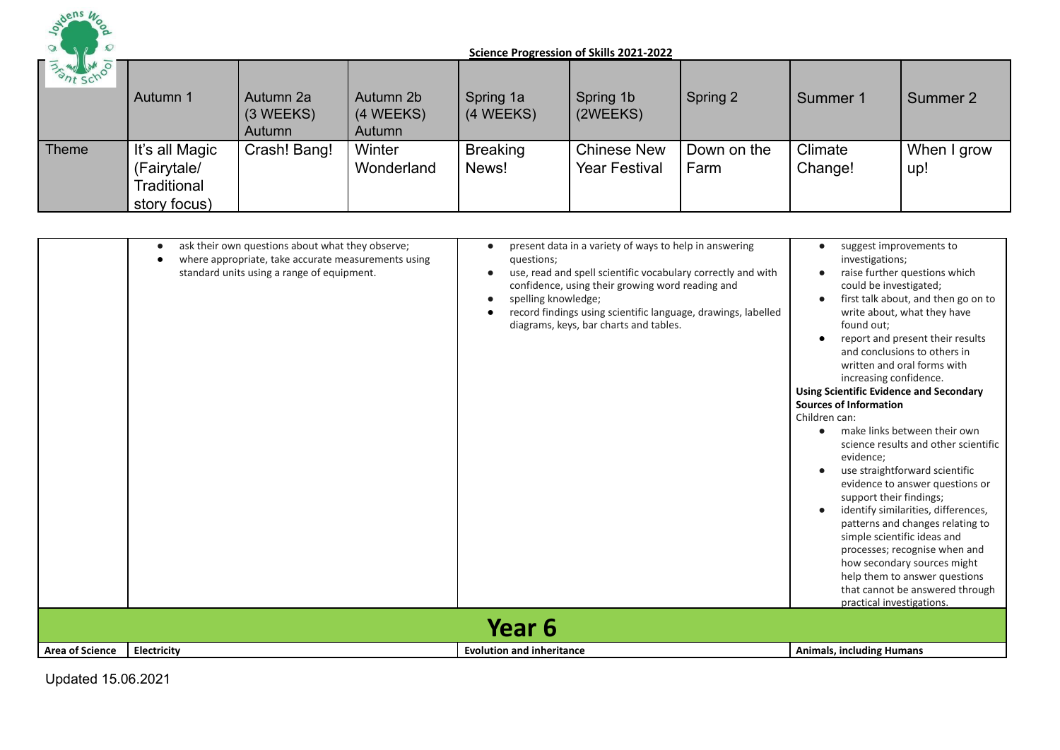

| <b>BATT SCHOOLS</b> | Autumn 1                                                     | Autumn 2a<br>$(3 \, \text{WEEKS})$<br>Autumn | Autumn 2b<br>(4 WEEKS)<br>Autumn | Spring 1a<br>(4 WEEKS)   | Spring 1b<br>(2WEEKS)                      | Spring 2            | Summer 1           | Summer 2           |
|---------------------|--------------------------------------------------------------|----------------------------------------------|----------------------------------|--------------------------|--------------------------------------------|---------------------|--------------------|--------------------|
| Theme               | It's all Magic<br>(Fairytale/<br>Traditional<br>story focus) | Crash! Bang!                                 | Winter<br>Wonderland             | <b>Breaking</b><br>News! | <b>Chinese New</b><br><b>Year Festival</b> | Down on the<br>Farm | Climate<br>Change! | When I grow<br>up! |

|                        | ask their own questions about what they observe;<br>where appropriate, take accurate measurements using<br>standard units using a range of equipment. | present data in a variety of ways to help in answering<br>questions;<br>use, read and spell scientific vocabulary correctly and with<br>confidence, using their growing word reading and<br>spelling knowledge;<br>record findings using scientific language, drawings, labelled<br>diagrams, keys, bar charts and tables. | suggest improvements to<br>$\bullet$<br>investigations;<br>raise further questions which<br>could be investigated;<br>first talk about, and then go on to<br>write about, what they have<br>found out;<br>report and present their results<br>$\bullet$<br>and conclusions to others in<br>written and oral forms with<br>increasing confidence.<br><b>Using Scientific Evidence and Secondary</b><br><b>Sources of Information</b><br>Children can:<br>make links between their own<br>$\bullet$<br>science results and other scientific<br>evidence:<br>use straightforward scientific<br>evidence to answer questions or<br>support their findings;<br>identify similarities, differences,<br>$\bullet$<br>patterns and changes relating to<br>simple scientific ideas and<br>processes; recognise when and<br>how secondary sources might<br>help them to answer questions<br>that cannot be answered through<br>practical investigations. |
|------------------------|-------------------------------------------------------------------------------------------------------------------------------------------------------|----------------------------------------------------------------------------------------------------------------------------------------------------------------------------------------------------------------------------------------------------------------------------------------------------------------------------|------------------------------------------------------------------------------------------------------------------------------------------------------------------------------------------------------------------------------------------------------------------------------------------------------------------------------------------------------------------------------------------------------------------------------------------------------------------------------------------------------------------------------------------------------------------------------------------------------------------------------------------------------------------------------------------------------------------------------------------------------------------------------------------------------------------------------------------------------------------------------------------------------------------------------------------------|
|                        |                                                                                                                                                       | Year 6                                                                                                                                                                                                                                                                                                                     |                                                                                                                                                                                                                                                                                                                                                                                                                                                                                                                                                                                                                                                                                                                                                                                                                                                                                                                                                |
| <b>Area of Science</b> | Electricity                                                                                                                                           | <b>Evolution and inheritance</b>                                                                                                                                                                                                                                                                                           | <b>Animals, including Humans</b>                                                                                                                                                                                                                                                                                                                                                                                                                                                                                                                                                                                                                                                                                                                                                                                                                                                                                                               |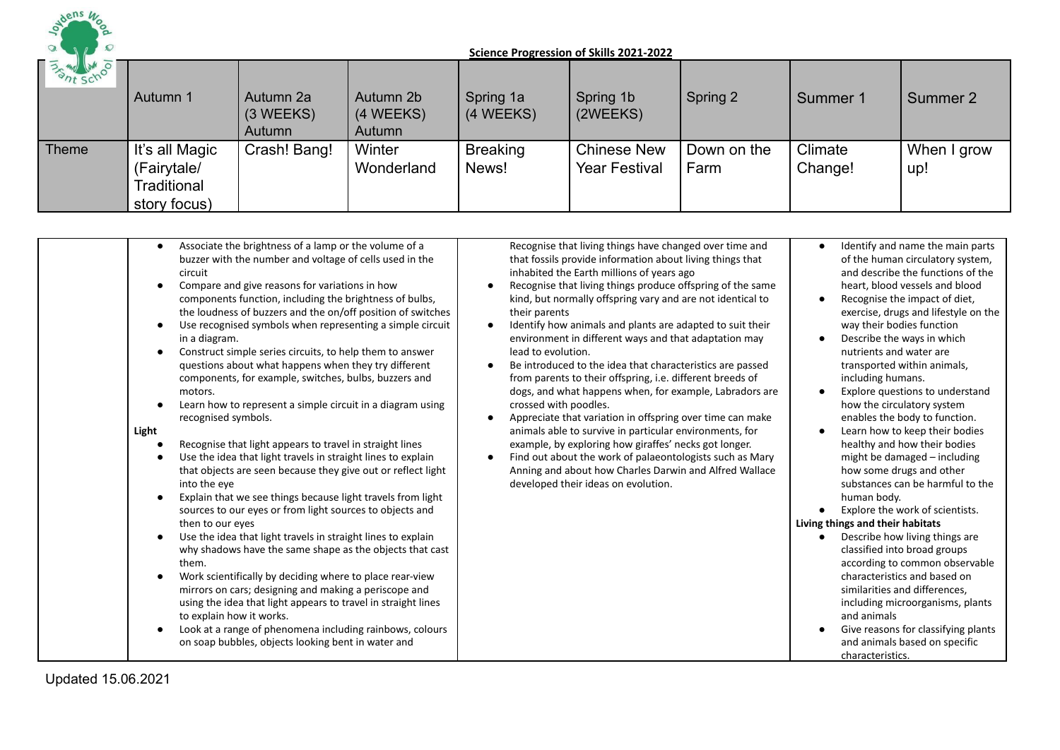

| <b>PART SCHOOLS</b> | Autumn 1                                                     | Autumn 2a<br>$(3 \, \text{WEEKS})$<br>Autumn | Autumn 2b<br>(4 WEEKS)<br>Autumn | Spring 1a<br>(4 WEEKS)   | Spring 1b<br>(2WEEKS)                      | Spring 2            | Summer 1           | Summer 2           |
|---------------------|--------------------------------------------------------------|----------------------------------------------|----------------------------------|--------------------------|--------------------------------------------|---------------------|--------------------|--------------------|
| <b>Theme</b>        | It's all Magic<br>(Fairytale/<br>Traditional<br>story focus) | Crash! Bang!                                 | Winter<br>Wonderland             | <b>Breaking</b><br>News! | <b>Chinese New</b><br><b>Year Festival</b> | Down on the<br>Farm | Climate<br>Change! | When I grow<br>up! |

| Associate the brightness of a lamp or the volume of a<br>$\bullet$<br>buzzer with the number and voltage of cells used in the<br>circuit<br>Compare and give reasons for variations in how<br>components function, including the brightness of bulbs,<br>the loudness of buzzers and the on/off position of switches<br>Use recognised symbols when representing a simple circuit<br>in a diagram.<br>Construct simple series circuits, to help them to answer<br>questions about what happens when they try different<br>components, for example, switches, bulbs, buzzers and<br>motors.<br>Learn how to represent a simple circuit in a diagram using<br>recognised symbols.<br>Light<br>Recognise that light appears to travel in straight lines<br>Use the idea that light travels in straight lines to explain<br>that objects are seen because they give out or reflect light<br>into the eye<br>Explain that we see things because light travels from light<br>sources to our eyes or from light sources to objects and<br>then to our eyes<br>Use the idea that light travels in straight lines to explain<br>why shadows have the same shape as the objects that cast<br>them.<br>Work scientifically by deciding where to place rear-view<br>mirrors on cars; designing and making a periscope and<br>using the idea that light appears to travel in straight lines<br>to explain how it works.<br>Look at a range of phenomena including rainbows, colours<br>on soap bubbles, objects looking bent in water and | Recognise that living things have changed over time and<br>that fossils provide information about living things that<br>inhabited the Earth millions of years ago<br>Recognise that living things produce offspring of the same<br>$\bullet$<br>kind, but normally offspring vary and are not identical to<br>their parents<br>Identify how animals and plants are adapted to suit their<br>$\bullet$<br>environment in different ways and that adaptation may<br>lead to evolution.<br>Be introduced to the idea that characteristics are passed<br>$\bullet$<br>from parents to their offspring, i.e. different breeds of<br>dogs, and what happens when, for example, Labradors are<br>crossed with poodles.<br>Appreciate that variation in offspring over time can make<br>$\bullet$<br>animals able to survive in particular environments, for<br>example, by exploring how giraffes' necks got longer.<br>Find out about the work of palaeontologists such as Mary<br>$\bullet$<br>Anning and about how Charles Darwin and Alfred Wallace<br>developed their ideas on evolution. | Identify and name the main parts<br>$\bullet$<br>of the human circulatory system,<br>and describe the functions of the<br>heart, blood vessels and blood<br>Recognise the impact of diet,<br>exercise, drugs and lifestyle on the<br>way their bodies function<br>Describe the ways in which<br>nutrients and water are<br>transported within animals,<br>including humans.<br>Explore questions to understand<br>how the circulatory system<br>enables the body to function.<br>Learn how to keep their bodies<br>healthy and how their bodies<br>might be damaged - including<br>how some drugs and other<br>substances can be harmful to the<br>human body.<br>Explore the work of scientists.<br>Living things and their habitats<br>Describe how living things are<br>classified into broad groups<br>according to common observable<br>characteristics and based on<br>similarities and differences,<br>including microorganisms, plants<br>and animals |
|------------------------------------------------------------------------------------------------------------------------------------------------------------------------------------------------------------------------------------------------------------------------------------------------------------------------------------------------------------------------------------------------------------------------------------------------------------------------------------------------------------------------------------------------------------------------------------------------------------------------------------------------------------------------------------------------------------------------------------------------------------------------------------------------------------------------------------------------------------------------------------------------------------------------------------------------------------------------------------------------------------------------------------------------------------------------------------------------------------------------------------------------------------------------------------------------------------------------------------------------------------------------------------------------------------------------------------------------------------------------------------------------------------------------------------------------------------------------------------------------------------------------------|-----------------------------------------------------------------------------------------------------------------------------------------------------------------------------------------------------------------------------------------------------------------------------------------------------------------------------------------------------------------------------------------------------------------------------------------------------------------------------------------------------------------------------------------------------------------------------------------------------------------------------------------------------------------------------------------------------------------------------------------------------------------------------------------------------------------------------------------------------------------------------------------------------------------------------------------------------------------------------------------------------------------------------------------------------------------------------------------|---------------------------------------------------------------------------------------------------------------------------------------------------------------------------------------------------------------------------------------------------------------------------------------------------------------------------------------------------------------------------------------------------------------------------------------------------------------------------------------------------------------------------------------------------------------------------------------------------------------------------------------------------------------------------------------------------------------------------------------------------------------------------------------------------------------------------------------------------------------------------------------------------------------------------------------------------------------|
|------------------------------------------------------------------------------------------------------------------------------------------------------------------------------------------------------------------------------------------------------------------------------------------------------------------------------------------------------------------------------------------------------------------------------------------------------------------------------------------------------------------------------------------------------------------------------------------------------------------------------------------------------------------------------------------------------------------------------------------------------------------------------------------------------------------------------------------------------------------------------------------------------------------------------------------------------------------------------------------------------------------------------------------------------------------------------------------------------------------------------------------------------------------------------------------------------------------------------------------------------------------------------------------------------------------------------------------------------------------------------------------------------------------------------------------------------------------------------------------------------------------------------|-----------------------------------------------------------------------------------------------------------------------------------------------------------------------------------------------------------------------------------------------------------------------------------------------------------------------------------------------------------------------------------------------------------------------------------------------------------------------------------------------------------------------------------------------------------------------------------------------------------------------------------------------------------------------------------------------------------------------------------------------------------------------------------------------------------------------------------------------------------------------------------------------------------------------------------------------------------------------------------------------------------------------------------------------------------------------------------------|---------------------------------------------------------------------------------------------------------------------------------------------------------------------------------------------------------------------------------------------------------------------------------------------------------------------------------------------------------------------------------------------------------------------------------------------------------------------------------------------------------------------------------------------------------------------------------------------------------------------------------------------------------------------------------------------------------------------------------------------------------------------------------------------------------------------------------------------------------------------------------------------------------------------------------------------------------------|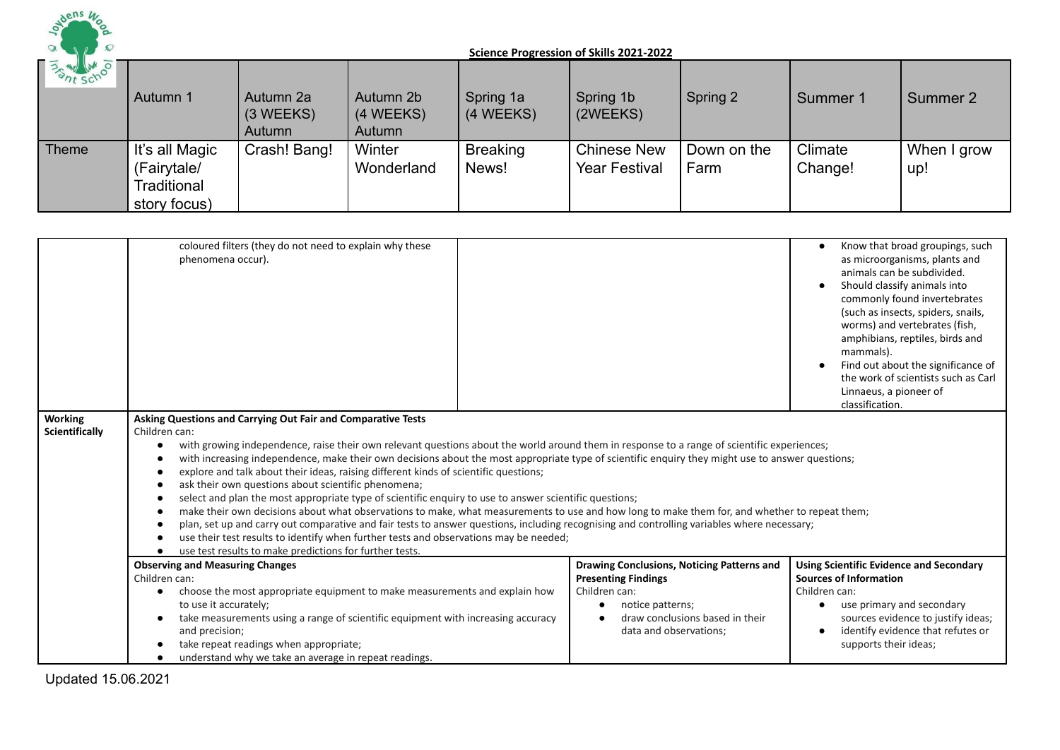

| <b>BATT SCHOOLS</b> | Autumn 1                                                     | Autumn 2a<br>$(3 \, \text{WEEKS})$<br>Autumn | Autumn 2b<br>(4 WEEKS)<br>Autumn | Spring 1a<br>(4 WEEKS)   | Spring 1b<br>(2WEEKS)                      | Spring 2            | Summer 1           | Summer 2           |
|---------------------|--------------------------------------------------------------|----------------------------------------------|----------------------------------|--------------------------|--------------------------------------------|---------------------|--------------------|--------------------|
| Theme               | It's all Magic<br>(Fairytale/<br>Traditional<br>story focus) | Crash! Bang!                                 | Winter<br>Wonderland             | <b>Breaking</b><br>News! | <b>Chinese New</b><br><b>Year Festival</b> | Down on the<br>Farm | Climate<br>Change! | When I grow<br>up! |

|                                  | coloured filters (they do not need to explain why these<br>phenomena occur).                                                                                                                                                                                                                                                                                                                                                                                                                                                                                                                                                                                                                                                                                                                                                                                                                                                                                                                                                                                                                  |                                                                                                                                                                                 | Know that broad groupings, such<br>$\bullet$<br>as microorganisms, plants and<br>animals can be subdivided.<br>Should classify animals into<br>$\bullet$<br>commonly found invertebrates<br>(such as insects, spiders, snails,<br>worms) and vertebrates (fish,<br>amphibians, reptiles, birds and<br>mammals).<br>Find out about the significance of<br>the work of scientists such as Carl<br>Linnaeus, a pioneer of<br>classification. |
|----------------------------------|-----------------------------------------------------------------------------------------------------------------------------------------------------------------------------------------------------------------------------------------------------------------------------------------------------------------------------------------------------------------------------------------------------------------------------------------------------------------------------------------------------------------------------------------------------------------------------------------------------------------------------------------------------------------------------------------------------------------------------------------------------------------------------------------------------------------------------------------------------------------------------------------------------------------------------------------------------------------------------------------------------------------------------------------------------------------------------------------------|---------------------------------------------------------------------------------------------------------------------------------------------------------------------------------|-------------------------------------------------------------------------------------------------------------------------------------------------------------------------------------------------------------------------------------------------------------------------------------------------------------------------------------------------------------------------------------------------------------------------------------------|
| <b>Working</b><br>Scientifically | Asking Questions and Carrying Out Fair and Comparative Tests<br>Children can:<br>with growing independence, raise their own relevant questions about the world around them in response to a range of scientific experiences;<br>with increasing independence, make their own decisions about the most appropriate type of scientific enquiry they might use to answer questions;<br>explore and talk about their ideas, raising different kinds of scientific questions;<br>ask their own questions about scientific phenomena;<br>select and plan the most appropriate type of scientific enquiry to use to answer scientific questions;<br>make their own decisions about what observations to make, what measurements to use and how long to make them for, and whether to repeat them;<br>plan, set up and carry out comparative and fair tests to answer questions, including recognising and controlling variables where necessary;<br>use their test results to identify when further tests and observations may be needed;<br>use test results to make predictions for further tests. |                                                                                                                                                                                 |                                                                                                                                                                                                                                                                                                                                                                                                                                           |
|                                  | <b>Observing and Measuring Changes</b><br>Children can:<br>choose the most appropriate equipment to make measurements and explain how<br>to use it accurately;<br>take measurements using a range of scientific equipment with increasing accuracy<br>and precision;<br>take repeat readings when appropriate;<br>understand why we take an average in repeat readings.                                                                                                                                                                                                                                                                                                                                                                                                                                                                                                                                                                                                                                                                                                                       | Drawing Conclusions, Noticing Patterns and<br><b>Presenting Findings</b><br>Children can:<br>notice patterns;<br>٠<br>draw conclusions based in their<br>data and observations; | <b>Using Scientific Evidence and Secondary</b><br><b>Sources of Information</b><br>Children can:<br>use primary and secondary<br>$\bullet$<br>sources evidence to justify ideas;<br>identify evidence that refutes or<br>$\bullet$<br>supports their ideas;                                                                                                                                                                               |